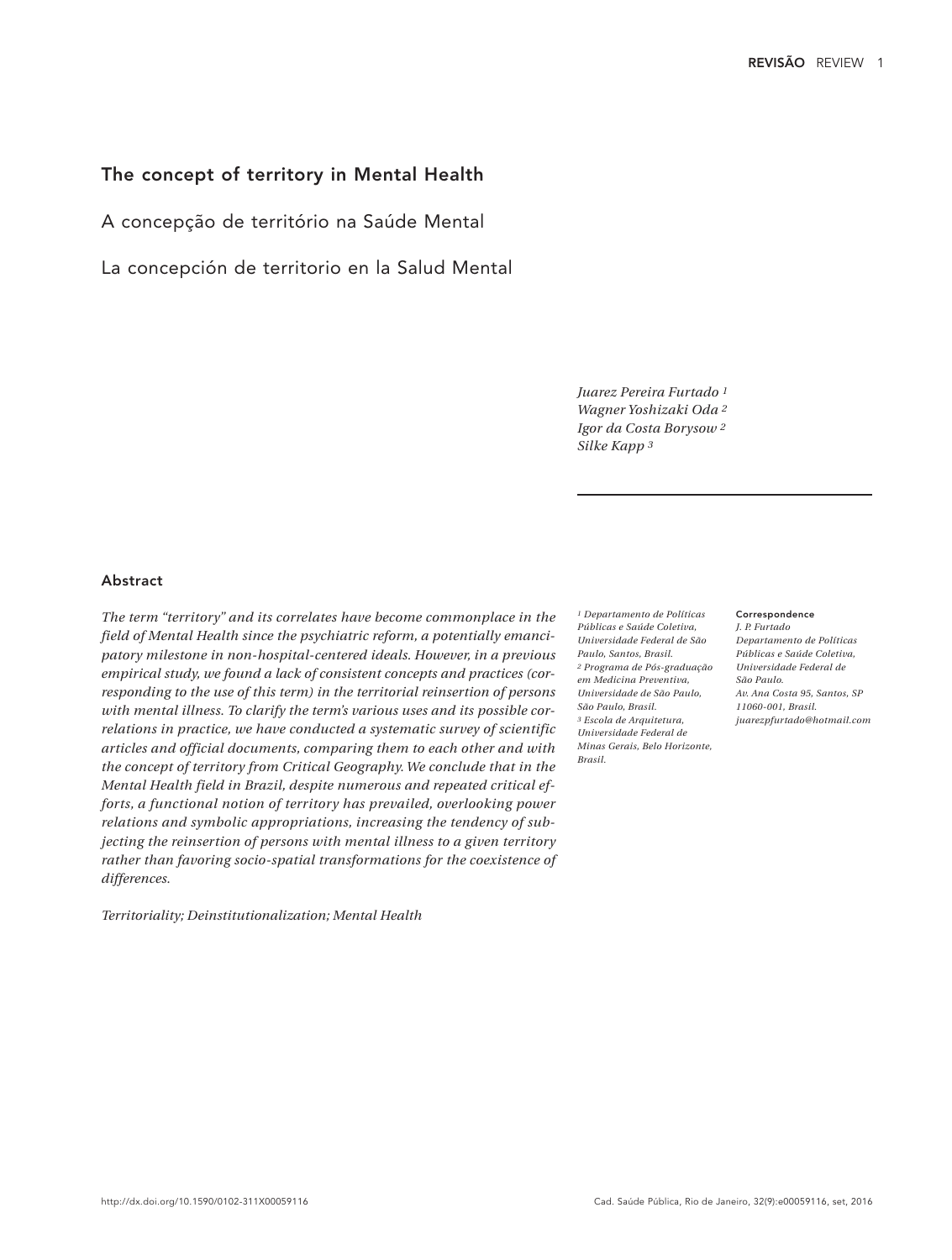# The concept of territory in Mental Health

A concepção de território na Saúde Mental

La concepción de territorio en la Salud Mental

*Juarez Pereira Furtado 1 Wagner Yoshizaki Oda 2 Igor da Costa Borysow 2 Silke Kapp 3*

# Abstract

*The term "territory" and its correlates have become commonplace in the field of Mental Health since the psychiatric reform, a potentially emancipatory milestone in non-hospital-centered ideals. However, in a previous empirical study, we found a lack of consistent concepts and practices (corresponding to the use of this term) in the territorial reinsertion of persons with mental illness. To clarify the term's various uses and its possible correlations in practice, we have conducted a systematic survey of scientific articles and official documents, comparing them to each other and with the concept of territory from Critical Geography. We conclude that in the Mental Health field in Brazil, despite numerous and repeated critical efforts, a functional notion of territory has prevailed, overlooking power relations and symbolic appropriations, increasing the tendency of subjecting the reinsertion of persons with mental illness to a given territory rather than favoring socio-spatial transformations for the coexistence of differences.*

*Territoriality; Deinstitutionalization; Mental Health*

*1 Departamento de Políticas Públicas e Saúde Coletiva, Universidade Federal de São Paulo, Santos, Brasil. 2 Programa de Pós-graduação em Medicina Preventiva, Universidade de São Paulo, São Paulo, Brasil. 3 Escola de Arquitetura, Universidade Federal de Minas Gerais, Belo Horizonte, Brasil.*

#### **Correspondence**

*J. P. Furtado Departamento de Políticas Públicas e Saúde Coletiva, Universidade Federal de São Paulo. Av. Ana Costa 95, Santos, SP 11060-001, Brasil. juarezpfurtado@hotmail.com*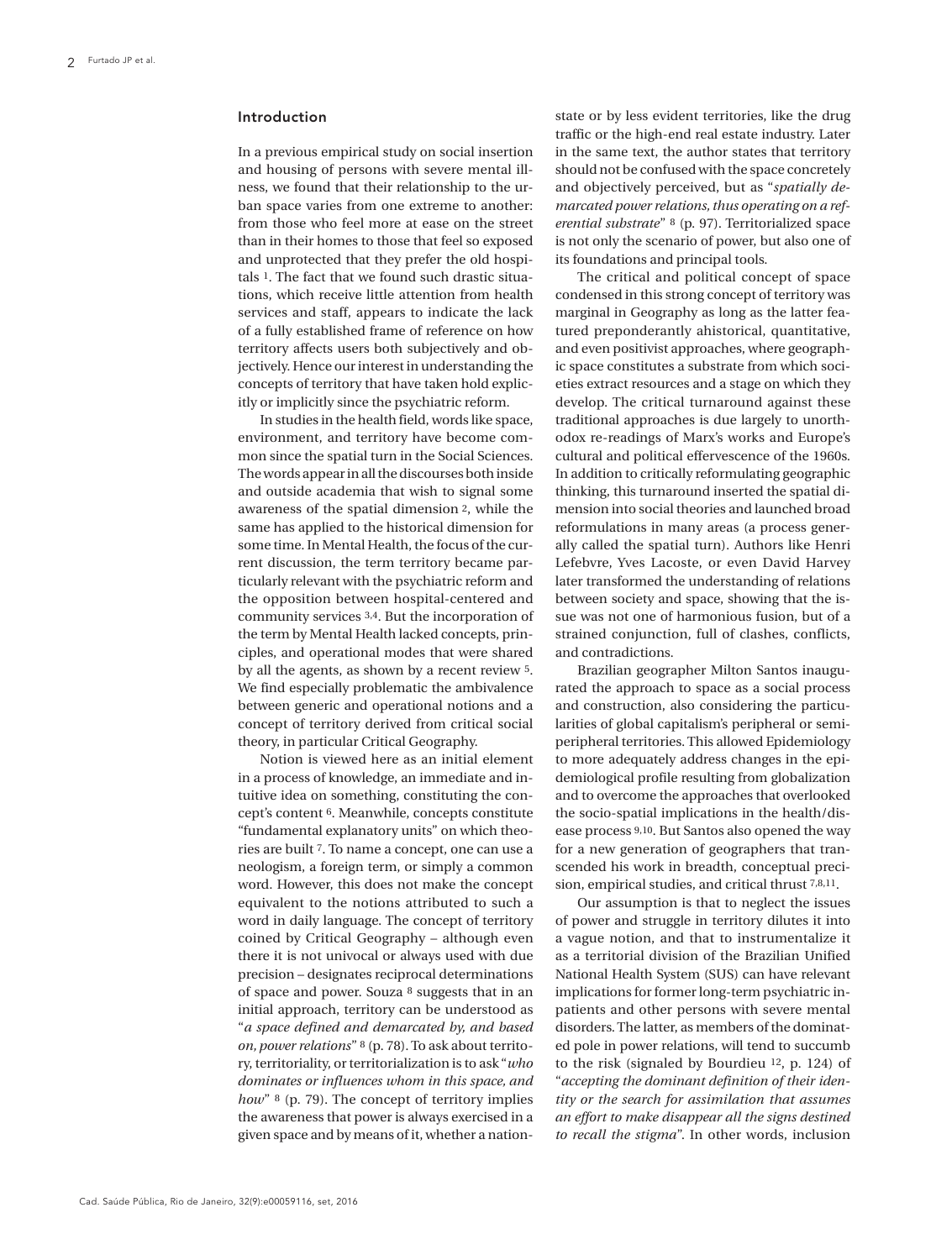### Introduction

In a previous empirical study on social insertion and housing of persons with severe mental illness, we found that their relationship to the urban space varies from one extreme to another: from those who feel more at ease on the street than in their homes to those that feel so exposed and unprotected that they prefer the old hospitals 1. The fact that we found such drastic situations, which receive little attention from health services and staff, appears to indicate the lack of a fully established frame of reference on how territory affects users both subjectively and objectively. Hence our interest in understanding the concepts of territory that have taken hold explicitly or implicitly since the psychiatric reform.

In studies in the health field, words like space, environment, and territory have become common since the spatial turn in the Social Sciences. The words appear in all the discourses both inside and outside academia that wish to signal some awareness of the spatial dimension 2, while the same has applied to the historical dimension for some time. In Mental Health, the focus of the current discussion, the term territory became particularly relevant with the psychiatric reform and the opposition between hospital-centered and community services 3,4. But the incorporation of the term by Mental Health lacked concepts, principles, and operational modes that were shared by all the agents, as shown by a recent review 5. We find especially problematic the ambivalence between generic and operational notions and a concept of territory derived from critical social theory, in particular Critical Geography.

Notion is viewed here as an initial element in a process of knowledge, an immediate and intuitive idea on something, constituting the concept's content 6. Meanwhile, concepts constitute "fundamental explanatory units" on which theories are built 7. To name a concept, one can use a neologism, a foreign term, or simply a common word. However, this does not make the concept equivalent to the notions attributed to such a word in daily language. The concept of territory coined by Critical Geography – although even there it is not univocal or always used with due precision – designates reciprocal determinations of space and power. Souza 8 suggests that in an initial approach, territory can be understood as "*a space defined and demarcated by, and based on, power relations*" 8 (p. 78). To ask about territory, territoriality, or territorialization is to ask "*who dominates or influences whom in this space, and how*" 8 (p. 79). The concept of territory implies the awareness that power is always exercised in a given space and by means of it, whether a nationstate or by less evident territories, like the drug traffic or the high-end real estate industry. Later in the same text, the author states that territory should not be confused with the space concretely and objectively perceived, but as "*spatially demarcated power relations, thus operating on a referential substrate*" 8 (p. 97). Territorialized space is not only the scenario of power, but also one of its foundations and principal tools.

The critical and political concept of space condensed in this strong concept of territory was marginal in Geography as long as the latter featured preponderantly ahistorical, quantitative, and even positivist approaches, where geographic space constitutes a substrate from which societies extract resources and a stage on which they develop. The critical turnaround against these traditional approaches is due largely to unorthodox re-readings of Marx's works and Europe's cultural and political effervescence of the 1960s. In addition to critically reformulating geographic thinking, this turnaround inserted the spatial dimension into social theories and launched broad reformulations in many areas (a process generally called the spatial turn). Authors like Henri Lefebvre, Yves Lacoste, or even David Harvey later transformed the understanding of relations between society and space, showing that the issue was not one of harmonious fusion, but of a strained conjunction, full of clashes, conflicts, and contradictions.

Brazilian geographer Milton Santos inaugurated the approach to space as a social process and construction, also considering the particularities of global capitalism's peripheral or semiperipheral territories. This allowed Epidemiology to more adequately address changes in the epidemiological profile resulting from globalization and to overcome the approaches that overlooked the socio-spatial implications in the health/disease process 9,10. But Santos also opened the way for a new generation of geographers that transcended his work in breadth, conceptual precision, empirical studies, and critical thrust 7,8,11.

Our assumption is that to neglect the issues of power and struggle in territory dilutes it into a vague notion, and that to instrumentalize it as a territorial division of the Brazilian Unified National Health System (SUS) can have relevant implications for former long-term psychiatric inpatients and other persons with severe mental disorders. The latter, as members of the dominated pole in power relations, will tend to succumb to the risk (signaled by Bourdieu 12, p. 124) of "*accepting the dominant definition of their identity or the search for assimilation that assumes an effort to make disappear all the signs destined to recall the stigma*". In other words, inclusion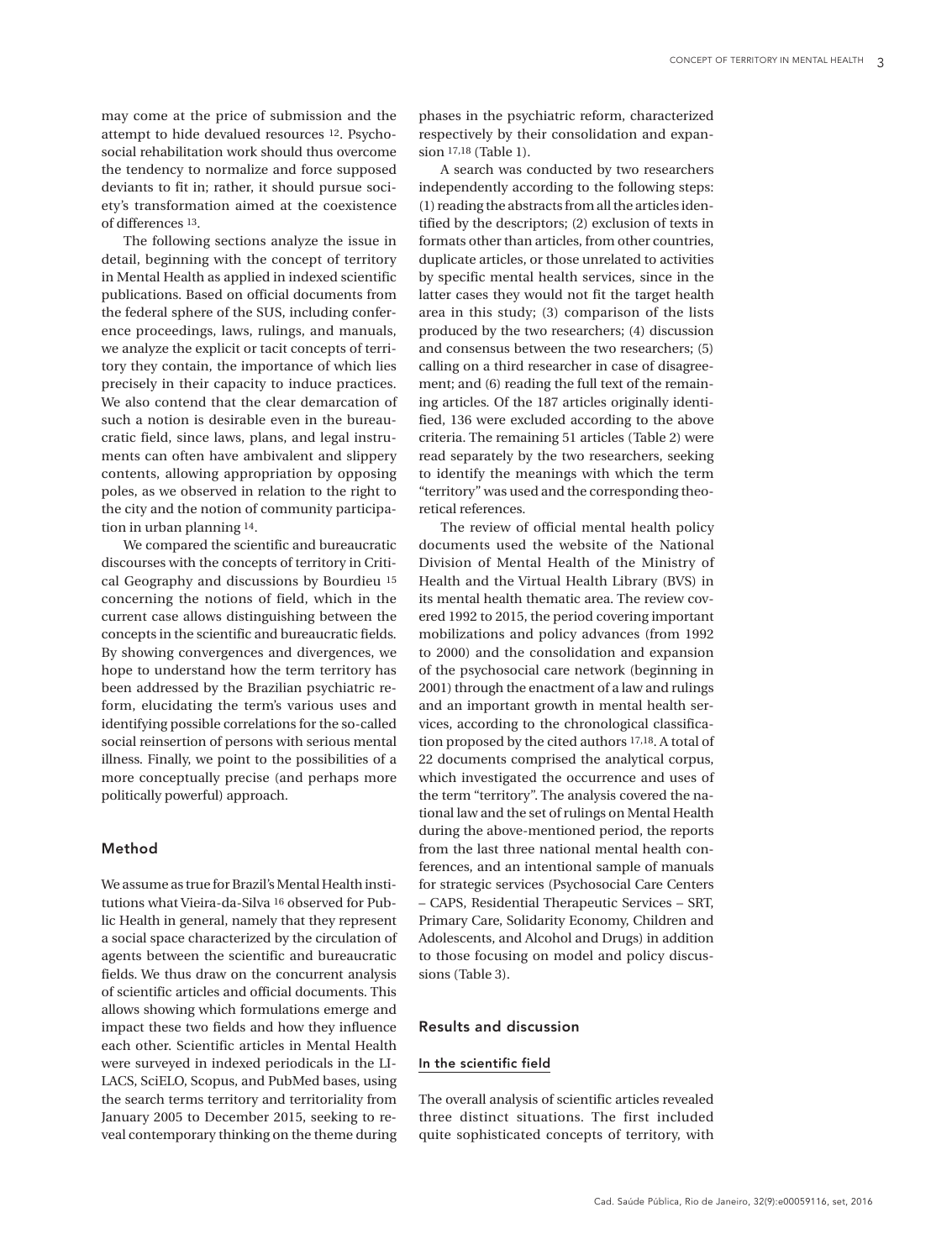may come at the price of submission and the attempt to hide devalued resources 12. Psychosocial rehabilitation work should thus overcome the tendency to normalize and force supposed deviants to fit in; rather, it should pursue society's transformation aimed at the coexistence of differences 13.

The following sections analyze the issue in detail, beginning with the concept of territory in Mental Health as applied in indexed scientific publications. Based on official documents from the federal sphere of the SUS, including conference proceedings, laws, rulings, and manuals, we analyze the explicit or tacit concepts of territory they contain, the importance of which lies precisely in their capacity to induce practices. We also contend that the clear demarcation of such a notion is desirable even in the bureaucratic field, since laws, plans, and legal instruments can often have ambivalent and slippery contents, allowing appropriation by opposing poles, as we observed in relation to the right to the city and the notion of community participation in urban planning 14.

We compared the scientific and bureaucratic discourses with the concepts of territory in Critical Geography and discussions by Bourdieu 15 concerning the notions of field, which in the current case allows distinguishing between the concepts in the scientific and bureaucratic fields. By showing convergences and divergences, we hope to understand how the term territory has been addressed by the Brazilian psychiatric reform, elucidating the term's various uses and identifying possible correlations for the so-called social reinsertion of persons with serious mental illness. Finally, we point to the possibilities of a more conceptually precise (and perhaps more politically powerful) approach.

# Method

We assume as true for Brazil's Mental Health institutions what Vieira-da-Silva 16 observed for Public Health in general, namely that they represent a social space characterized by the circulation of agents between the scientific and bureaucratic fields. We thus draw on the concurrent analysis of scientific articles and official documents. This allows showing which formulations emerge and impact these two fields and how they influence each other. Scientific articles in Mental Health were surveyed in indexed periodicals in the LI-LACS, SciELO, Scopus, and PubMed bases, using the search terms territory and territoriality from January 2005 to December 2015, seeking to reveal contemporary thinking on the theme during

phases in the psychiatric reform, characterized respectively by their consolidation and expansion 17,18 (Table 1).

A search was conducted by two researchers independently according to the following steps: (1) reading the abstracts from all the articles identified by the descriptors; (2) exclusion of texts in formats other than articles, from other countries, duplicate articles, or those unrelated to activities by specific mental health services, since in the latter cases they would not fit the target health area in this study; (3) comparison of the lists produced by the two researchers; (4) discussion and consensus between the two researchers; (5) calling on a third researcher in case of disagreement; and (6) reading the full text of the remaining articles. Of the 187 articles originally identified, 136 were excluded according to the above criteria. The remaining 51 articles (Table 2) were read separately by the two researchers, seeking to identify the meanings with which the term "territory" was used and the corresponding theoretical references.

The review of official mental health policy documents used the website of the National Division of Mental Health of the Ministry of Health and the Virtual Health Library (BVS) in its mental health thematic area. The review covered 1992 to 2015, the period covering important mobilizations and policy advances (from 1992 to 2000) and the consolidation and expansion of the psychosocial care network (beginning in 2001) through the enactment of a law and rulings and an important growth in mental health services, according to the chronological classification proposed by the cited authors 17,18. A total of 22 documents comprised the analytical corpus, which investigated the occurrence and uses of the term "territory". The analysis covered the national law and the set of rulings on Mental Health during the above-mentioned period, the reports from the last three national mental health conferences, and an intentional sample of manuals for strategic services (Psychosocial Care Centers – CAPS, Residential Therapeutic Services – SRT, Primary Care, Solidarity Economy, Children and Adolescents, and Alcohol and Drugs) in addition to those focusing on model and policy discussions (Table 3).

## Results and discussion

#### In the scientific field

The overall analysis of scientific articles revealed three distinct situations. The first included quite sophisticated concepts of territory, with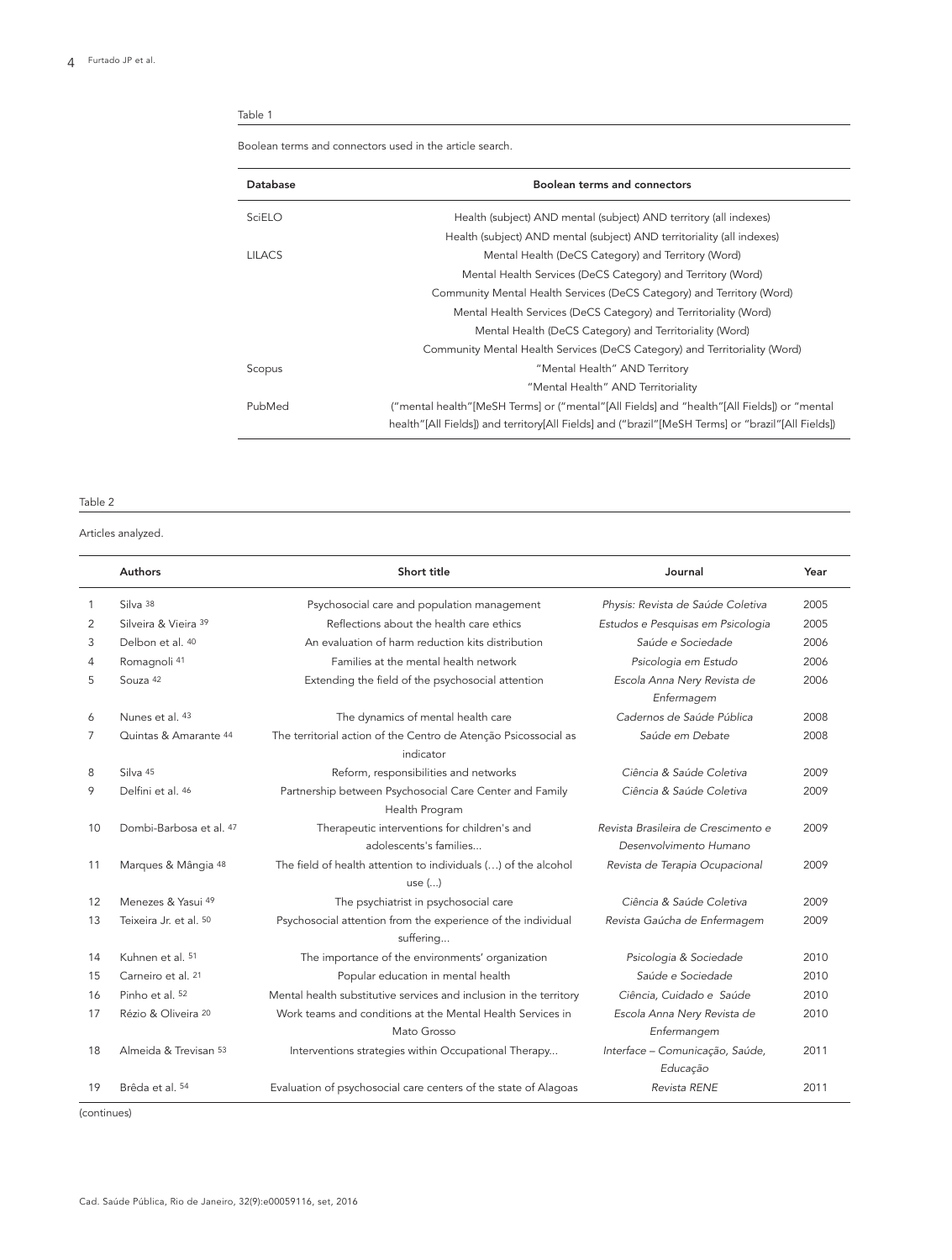# Table 1

Boolean terms and connectors used in the article search.

| Database      | Boolean terms and connectors                                                                      |
|---------------|---------------------------------------------------------------------------------------------------|
| SciELO        | Health (subject) AND mental (subject) AND territory (all indexes)                                 |
|               | Health (subject) AND mental (subject) AND territoriality (all indexes)                            |
| <b>LILACS</b> | Mental Health (DeCS Category) and Territory (Word)                                                |
|               | Mental Health Services (DeCS Category) and Territory (Word)                                       |
|               | Community Mental Health Services (DeCS Category) and Territory (Word)                             |
|               | Mental Health Services (DeCS Category) and Territoriality (Word)                                  |
|               | Mental Health (DeCS Category) and Territoriality (Word)                                           |
|               | Community Mental Health Services (DeCS Category) and Territoriality (Word)                        |
| Scopus        | "Mental Health" AND Territory                                                                     |
|               | "Mental Health" AND Territoriality                                                                |
| PubMed        | ("mental health" [MeSH Terms] or ("mental" [All Fields] and "health" [All Fields]) or "mental     |
|               | health"[All Fields]) and territory[All Fields] and ("brazil"[MeSH Terms] or "brazil"[All Fields]) |

# Table 2

Articles analyzed.

|    | Authors                 | Short title                                                                  | Journal                                                       | Year |
|----|-------------------------|------------------------------------------------------------------------------|---------------------------------------------------------------|------|
| 1  | Silva 38                | Psychosocial care and population management                                  | Physis: Revista de Saúde Coletiva                             | 2005 |
| 2  | Silveira & Vieira 39    | Reflections about the health care ethics                                     | Estudos e Pesquisas em Psicologia                             | 2005 |
| 3  | Delbon et al. 40        | An evaluation of harm reduction kits distribution                            | Saúde e Sociedade                                             | 2006 |
| 4  | Romagnoli 41            | Families at the mental health network                                        | Psicologia em Estudo                                          | 2006 |
| 5  | Souza 42                | Extending the field of the psychosocial attention                            | Escola Anna Nery Revista de<br>Enfermagem                     | 2006 |
| 6  | Nunes et al. 43         | The dynamics of mental health care                                           | Cadernos de Saúde Pública                                     | 2008 |
| 7  | Quintas & Amarante 44   | The territorial action of the Centro de Atenção Psicossocial as<br>indicator | Saúde em Debate                                               | 2008 |
| 8  | Silva 45                | Reform, responsibilities and networks                                        | Ciência & Saúde Coletiva                                      | 2009 |
| 9  | Delfini et al. 46       | Partnership between Psychosocial Care Center and Family<br>Health Program    | Ciência & Saúde Coletiva                                      | 2009 |
| 10 | Dombi-Barbosa et al. 47 | Therapeutic interventions for children's and<br>adolescents's families       | Revista Brasileira de Crescimento e<br>Desenvolvimento Humano | 2009 |
| 11 | Marques & Mângia 48     | The field of health attention to individuals () of the alcohol<br>use $()$   | Revista de Terapia Ocupacional                                | 2009 |
| 12 | Menezes & Yasui 49      | The psychiatrist in psychosocial care                                        | Ciência & Saúde Coletiva                                      | 2009 |
| 13 | Teixeira Jr. et al. 50  | Psychosocial attention from the experience of the individual<br>suffering    | Revista Gaúcha de Enfermagem                                  | 2009 |
| 14 | Kuhnen et al. 51        | The importance of the environments' organization                             | Psicologia & Sociedade                                        | 2010 |
| 15 | Carneiro et al. 21      | Popular education in mental health                                           | Saúde e Sociedade                                             | 2010 |
| 16 | Pinho et al. 52         | Mental health substitutive services and inclusion in the territory           | Ciência, Cuidado e Saúde                                      | 2010 |
| 17 | Rézio & Oliveira 20     | Work teams and conditions at the Mental Health Services in<br>Mato Grosso    | Escola Anna Nery Revista de<br>Enfermangem                    | 2010 |
| 18 | Almeida & Trevisan 53   | Interventions strategies within Occupational Therapy                         | Interface - Comunicação, Saúde,<br>Educação                   | 2011 |
| 19 | Brêda et al. 54         | Evaluation of psychosocial care centers of the state of Alagoas              | Revista RENE                                                  | 2011 |

(continues)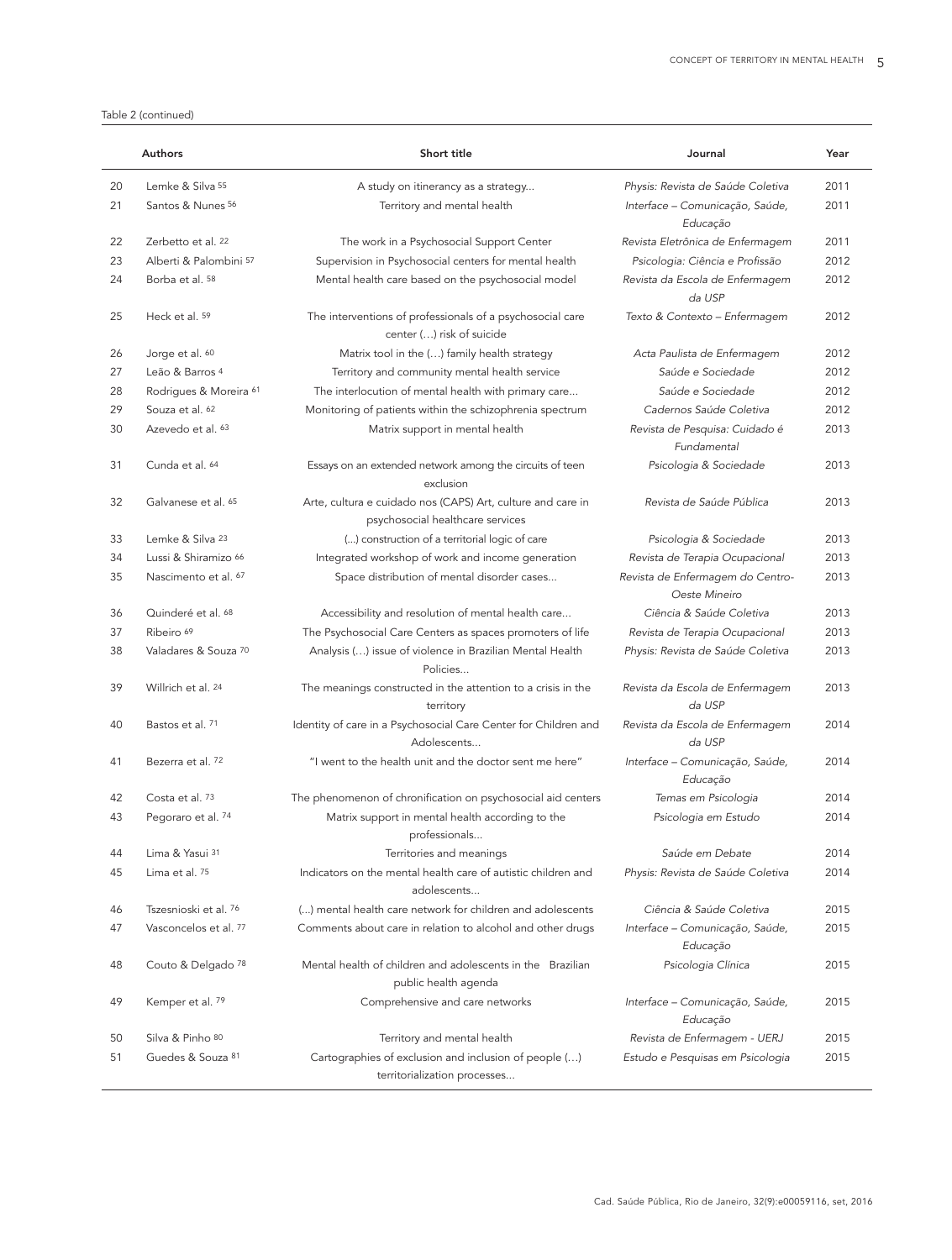# Table 2 (continued)

|    | <b>Authors</b>                    | Short title                                                                                     | Journal                                           | Year |
|----|-----------------------------------|-------------------------------------------------------------------------------------------------|---------------------------------------------------|------|
| 20 | Lemke & Silva 55                  | A study on itinerancy as a strategy                                                             | Physis: Revista de Saúde Coletiva                 | 2011 |
| 21 | Santos & Nunes 56                 | Territory and mental health                                                                     | Interface - Comunicação, Saúde,                   | 2011 |
|    |                                   |                                                                                                 | Educação                                          |      |
| 22 | Zerbetto et al. 22                | The work in a Psychosocial Support Center                                                       | Revista Eletrônica de Enfermagem                  | 2011 |
| 23 | Alberti & Palombini 57            | Supervision in Psychosocial centers for mental health                                           | Psicologia: Ciência e Profissão                   | 2012 |
| 24 | Borba et al. 58                   | Mental health care based on the psychosocial model                                              | Revista da Escola de Enfermagem<br>da USP         | 2012 |
| 25 | Heck et al. 59                    | The interventions of professionals of a psychosocial care<br>center () risk of suicide          | Texto & Contexto - Enfermagem                     | 2012 |
| 26 | Jorge et al. 60                   | Matrix tool in the () family health strategy                                                    | Acta Paulista de Enfermagem                       | 2012 |
| 27 | Leão & Barros 4                   | Territory and community mental health service                                                   | Saúde e Sociedade                                 | 2012 |
| 28 | Rodrigues & Moreira <sup>61</sup> | The interlocution of mental health with primary care                                            | Saúde e Sociedade                                 | 2012 |
| 29 | Souza et al. 62                   | Monitoring of patients within the schizophrenia spectrum                                        | Cadernos Saúde Coletiva                           | 2012 |
| 30 | Azevedo et al. 63                 | Matrix support in mental health                                                                 | Revista de Pesquisa: Cuidado é<br>Fundamental     | 2013 |
| 31 | Cunda et al. 64                   | Essays on an extended network among the circuits of teen<br>exclusion                           | Psicologia & Sociedade                            | 2013 |
| 32 | Galvanese et al. 65               | Arte, cultura e cuidado nos (CAPS) Art, culture and care in<br>psychosocial healthcare services | Revista de Saúde Pública                          | 2013 |
| 33 | Lemke & Silva 23                  | () construction of a territorial logic of care                                                  | Psicologia & Sociedade                            | 2013 |
| 34 | Lussi & Shiramizo 66              | Integrated workshop of work and income generation                                               | Revista de Terapia Ocupacional                    | 2013 |
| 35 | Nascimento et al. 67              | Space distribution of mental disorder cases                                                     | Revista de Enfermagem do Centro-<br>Oeste Mineiro | 2013 |
| 36 | Quinderé et al. 68                | Accessibility and resolution of mental health care                                              | Ciência & Saúde Coletiva                          | 2013 |
| 37 | Ribeiro <sup>69</sup>             | The Psychosocial Care Centers as spaces promoters of life                                       | Revista de Terapia Ocupacional                    | 2013 |
| 38 | Valadares & Souza 70              | Analysis () issue of violence in Brazilian Mental Health<br>Policies                            | Physis: Revista de Saúde Coletiva                 | 2013 |
| 39 | Willrich et al. 24                | The meanings constructed in the attention to a crisis in the<br>territory                       | Revista da Escola de Enfermagem<br>da USP         | 2013 |
| 40 | Bastos et al. 71                  | Identity of care in a Psychosocial Care Center for Children and<br>Adolescents                  | Revista da Escola de Enfermagem<br>da USP         | 2014 |
| 41 | Bezerra et al. 72                 | "I went to the health unit and the doctor sent me here"                                         | Interface - Comunicação, Saúde,<br>Educação       | 2014 |
| 42 | Costa et al. 73                   | The phenomenon of chronification on psychosocial aid centers                                    | Temas em Psicologia                               | 2014 |
| 43 | Pegoraro et al. 74                | Matrix support in mental health according to the<br>professionals                               | Psicologia em Estudo                              | 2014 |
| 44 | Lima & Yasui 31                   | Territories and meanings                                                                        | Saúde em Debate                                   | 2014 |
| 45 | Lima et al. 75                    | Indicators on the mental health care of autistic children and<br>adolescents                    | Physis: Revista de Saúde Coletiva                 | 2014 |
| 46 | Tszesnioski et al. 76             | () mental health care network for children and adolescents                                      | Ciência & Saúde Coletiva                          | 2015 |
| 47 | Vasconcelos et al. 77             | Comments about care in relation to alcohol and other drugs                                      | Interface - Comunicação, Saúde,<br>Educação       | 2015 |
| 48 | Couto & Delgado 78                | Mental health of children and adolescents in the Brazilian<br>public health agenda              | Psicologia Clínica                                | 2015 |
| 49 | Kemper et al. 79                  | Comprehensive and care networks                                                                 | Interface - Comunicação, Saúde,<br>Educação       | 2015 |
| 50 | Silva & Pinho 80                  | Territory and mental health                                                                     | Revista de Enfermagem - UERJ                      | 2015 |
| 51 | Guedes & Souza 81                 | Cartographies of exclusion and inclusion of people ()<br>territorialization processes           | Estudo e Pesquisas em Psicologia                  | 2015 |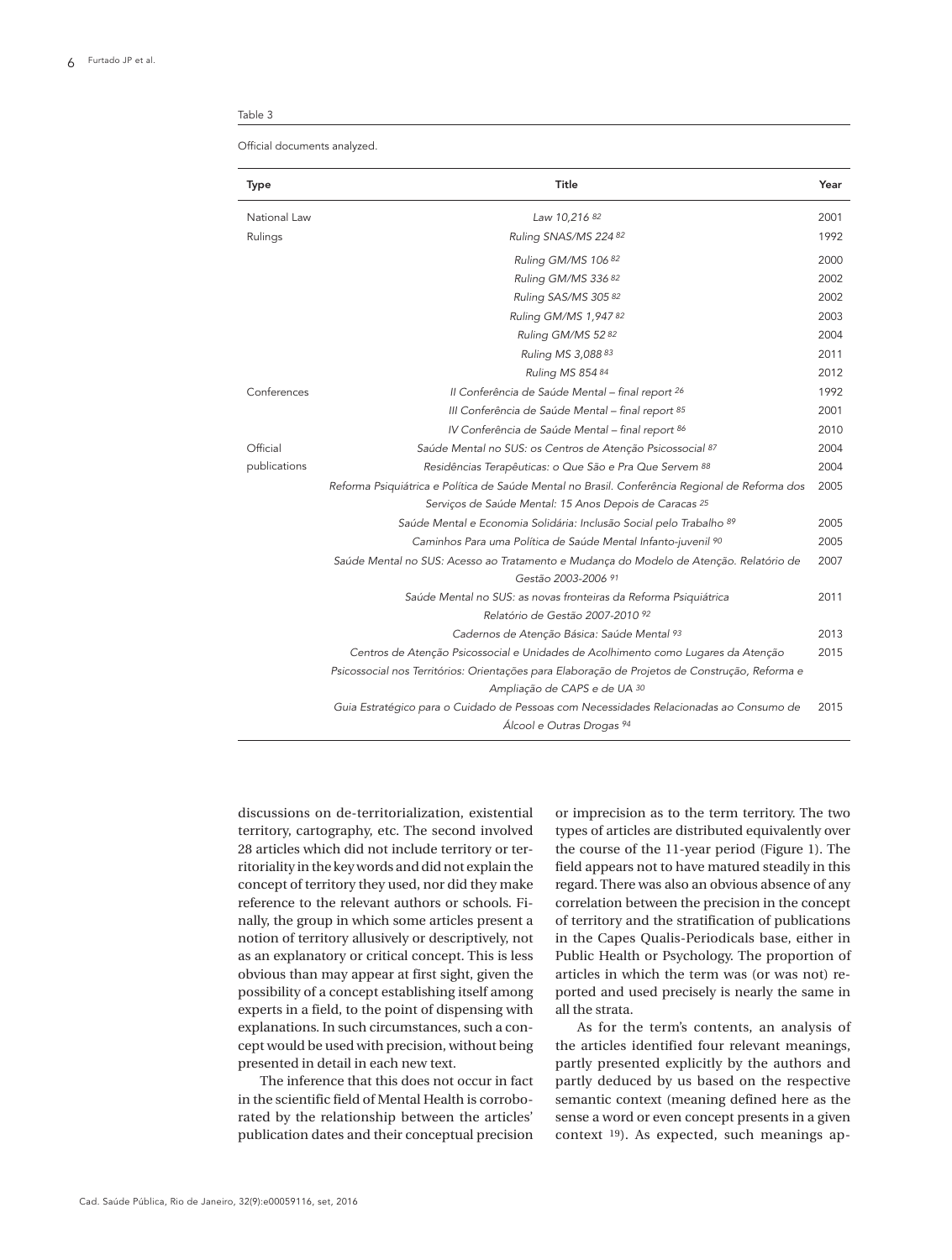## Table 3

Official documents analyzed.

| Type         | <b>Title</b>                                                                                                                   | Year |
|--------------|--------------------------------------------------------------------------------------------------------------------------------|------|
| National Law | Law 10,216 82                                                                                                                  | 2001 |
| Rulings      | Ruling SNAS/MS 224 82                                                                                                          | 1992 |
|              | Ruling GM/MS 106 82                                                                                                            | 2000 |
|              | Ruling GM/MS 336 82                                                                                                            | 2002 |
|              | Ruling SAS/MS 305 82                                                                                                           | 2002 |
|              | Ruling GM/MS 1,947 82                                                                                                          | 2003 |
|              | Ruling GM/MS 52 82                                                                                                             | 2004 |
|              | Ruling MS 3,088 83                                                                                                             | 2011 |
|              | Ruling MS 854 84                                                                                                               | 2012 |
| Conferences  | Il Conferência de Saúde Mental - final report 26                                                                               | 1992 |
|              | III Conferência de Saúde Mental - final report 85                                                                              | 2001 |
|              | IV Conferência de Saúde Mental - final report 86                                                                               | 2010 |
| Official     | Saúde Mental no SUS: os Centros de Atenção Psicossocial 87                                                                     | 2004 |
| publications | Residências Terapêuticas: o Que São e Pra Que Servem 88                                                                        | 2004 |
|              | Reforma Psiquiátrica e Política de Saúde Mental no Brasil. Conferência Regional de Reforma dos                                 | 2005 |
|              | Serviços de Saúde Mental: 15 Anos Depois de Caracas <sup>25</sup>                                                              |      |
|              | Saúde Mental e Economia Solidária: Inclusão Social pelo Trabalho 89                                                            | 2005 |
|              | Caminhos Para uma Política de Saúde Mental Infanto-juvenil 90                                                                  | 2005 |
|              | Saúde Mental no SUS: Acesso ao Tratamento e Mudança do Modelo de Atenção. Relatório de<br>Gestão 2003-2006 91                  | 2007 |
|              | Saúde Mental no SUS: as novas fronteiras da Reforma Psiquiátrica<br>Relatório de Gestão 2007-2010 92                           | 2011 |
|              | Cadernos de Atenção Básica: Saúde Mental 93                                                                                    | 2013 |
|              | Centros de Atenção Psicossocial e Unidades de Acolhimento como Lugares da Atenção                                              | 2015 |
|              | Psicossocial nos Territórios: Orientações para Elaboração de Projetos de Construção, Reforma e<br>Ampliação de CAPS e de UA 30 |      |
|              | Guia Estratégico para o Cuidado de Pessoas com Necessidades Relacionadas ao Consumo de<br>Álcool e Outras Drogas 94            | 2015 |

discussions on de-territorialization, existential territory, cartography, etc. The second involved 28 articles which did not include territory or territoriality in the key words and did not explain the concept of territory they used, nor did they make reference to the relevant authors or schools. Finally, the group in which some articles present a notion of territory allusively or descriptively, not as an explanatory or critical concept. This is less obvious than may appear at first sight, given the possibility of a concept establishing itself among experts in a field, to the point of dispensing with explanations. In such circumstances, such a concept would be used with precision, without being presented in detail in each new text.

The inference that this does not occur in fact in the scientific field of Mental Health is corroborated by the relationship between the articles' publication dates and their conceptual precision

or imprecision as to the term territory. The two types of articles are distributed equivalently over the course of the 11-year period (Figure 1). The field appears not to have matured steadily in this regard. There was also an obvious absence of any correlation between the precision in the concept of territory and the stratification of publications in the Capes Qualis-Periodicals base, either in Public Health or Psychology. The proportion of articles in which the term was (or was not) reported and used precisely is nearly the same in all the strata.

As for the term's contents, an analysis of the articles identified four relevant meanings, partly presented explicitly by the authors and partly deduced by us based on the respective semantic context (meaning defined here as the sense a word or even concept presents in a given context 19). As expected, such meanings ap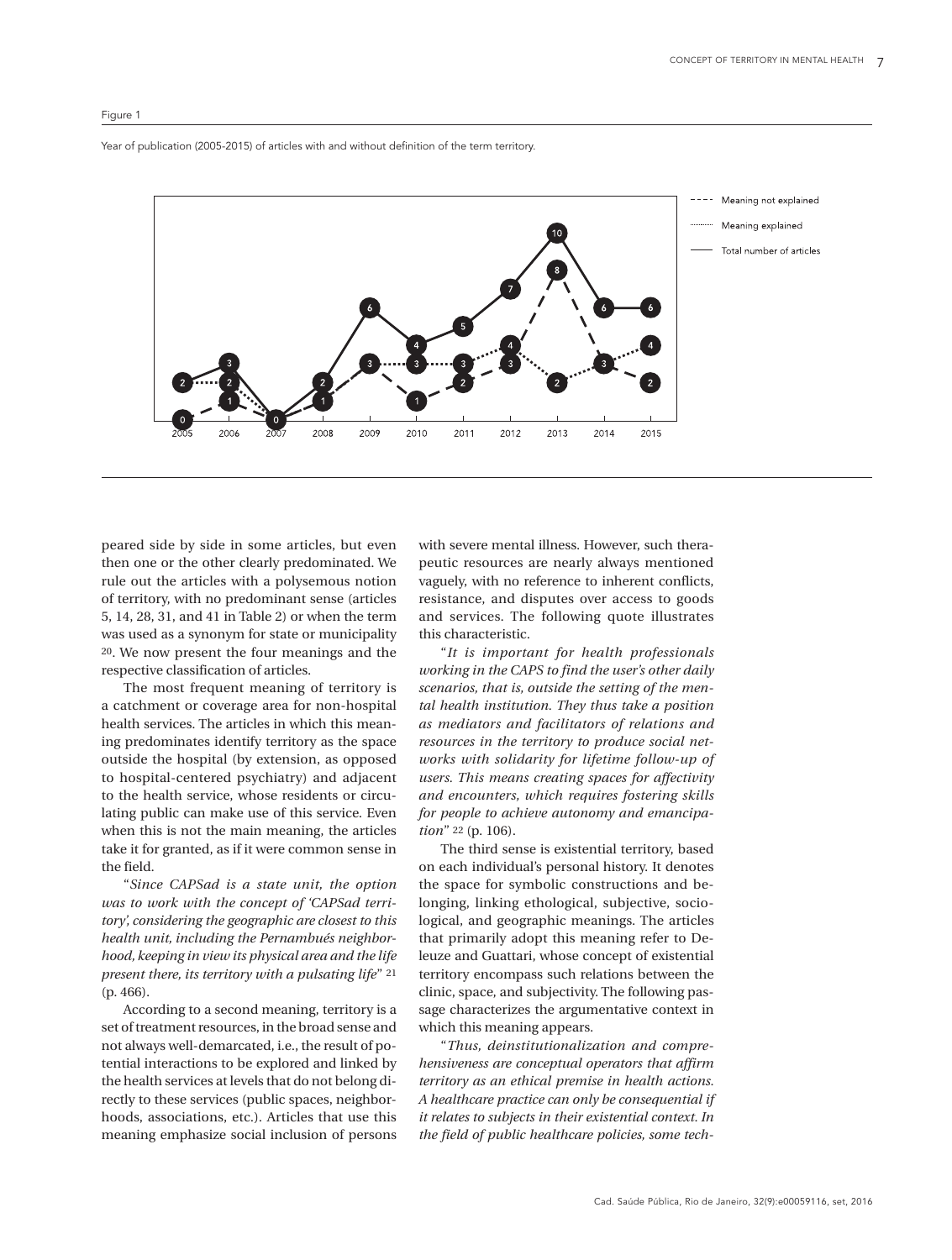Year of publication (2005-2015) of articles with and without definition of the term territory.



peared side by side in some articles, but even then one or the other clearly predominated. We rule out the articles with a polysemous notion of territory, with no predominant sense (articles 5, 14, 28, 31, and 41 in Table 2) or when the term was used as a synonym for state or municipality 20. We now present the four meanings and the respective classification of articles.

The most frequent meaning of territory is a catchment or coverage area for non-hospital health services. The articles in which this meaning predominates identify territory as the space outside the hospital (by extension, as opposed to hospital-centered psychiatry) and adjacent to the health service, whose residents or circulating public can make use of this service. Even when this is not the main meaning, the articles take it for granted, as if it were common sense in the field.

"*Since CAPSad is a state unit, the option was to work with the concept of 'CAPSad territory', considering the geographic are closest to this health unit, including the Pernambués neighborhood, keeping in view its physical area and the life present there, its territory with a pulsating life*" 21 (p. 466).

According to a second meaning, territory is a set of treatment resources, in the broad sense and not always well-demarcated, i.e., the result of potential interactions to be explored and linked by the health services at levels that do not belong directly to these services (public spaces, neighborhoods, associations, etc.). Articles that use this meaning emphasize social inclusion of persons with severe mental illness. However, such therapeutic resources are nearly always mentioned vaguely, with no reference to inherent conflicts, resistance, and disputes over access to goods and services. The following quote illustrates this characteristic.

"*It is important for health professionals working in the CAPS to find the user's other daily scenarios, that is, outside the setting of the mental health institution. They thus take a position as mediators and facilitators of relations and resources in the territory to produce social networks with solidarity for lifetime follow-up of users. This means creating spaces for affectivity and encounters, which requires fostering skills for people to achieve autonomy and emancipation*" 22 (p. 106).

The third sense is existential territory, based on each individual's personal history. It denotes the space for symbolic constructions and belonging, linking ethological, subjective, sociological, and geographic meanings. The articles that primarily adopt this meaning refer to Deleuze and Guattari, whose concept of existential territory encompass such relations between the clinic, space, and subjectivity. The following passage characterizes the argumentative context in which this meaning appears.

"*Thus, deinstitutionalization and comprehensiveness are conceptual operators that affirm territory as an ethical premise in health actions. A healthcare practice can only be consequential if it relates to subjects in their existential context. In the field of public healthcare policies, some tech-*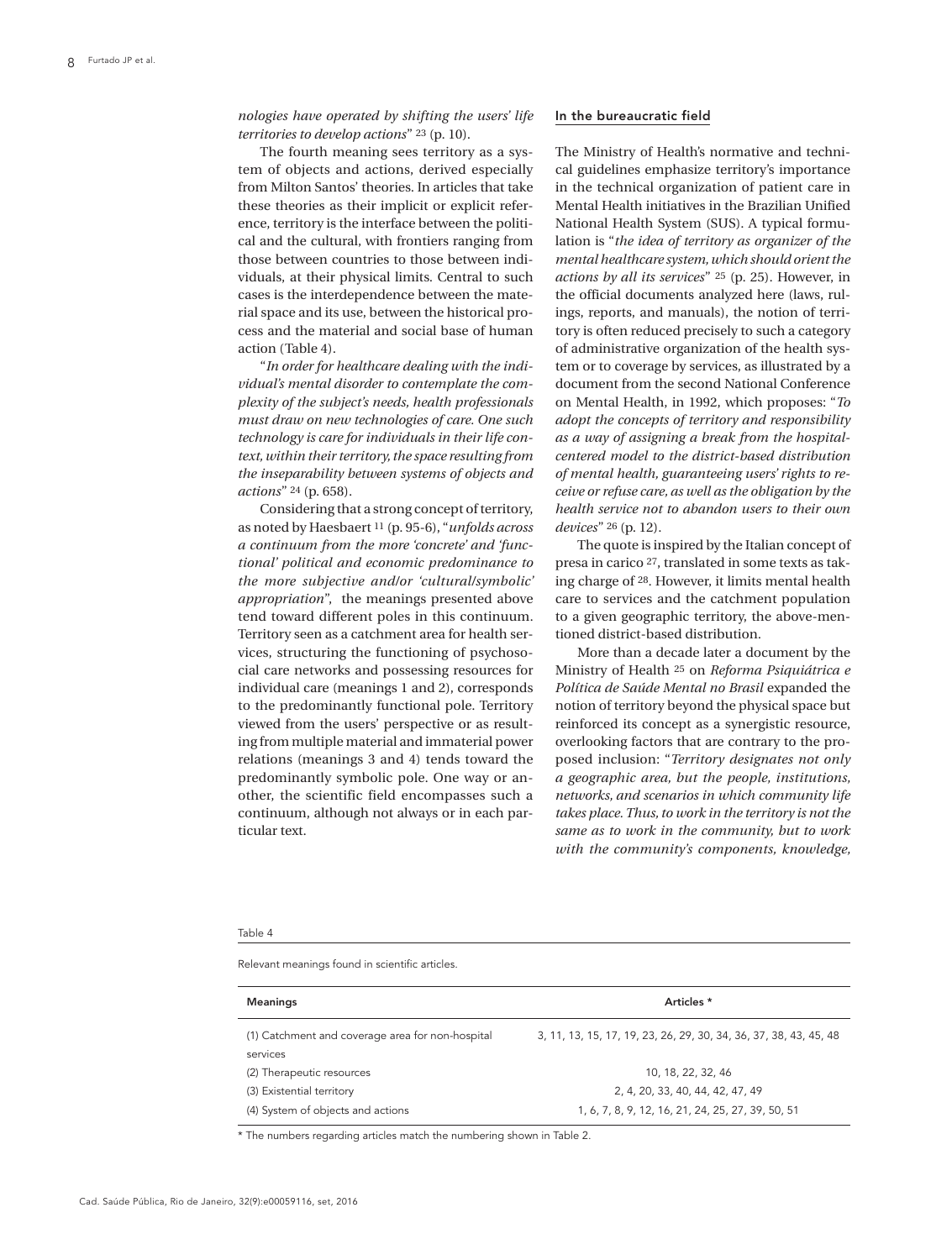*nologies have operated by shifting the users' life territories to develop actions*" 23 (p. 10).

The fourth meaning sees territory as a system of objects and actions, derived especially from Milton Santos' theories. In articles that take these theories as their implicit or explicit reference, territory is the interface between the political and the cultural, with frontiers ranging from those between countries to those between individuals, at their physical limits. Central to such cases is the interdependence between the material space and its use, between the historical process and the material and social base of human action (Table 4).

"*In order for healthcare dealing with the individual's mental disorder to contemplate the complexity of the subject's needs, health professionals must draw on new technologies of care. One such technology is care for individuals in their life context, within their territory, the space resulting from the inseparability between systems of objects and actions*" 24 (p. 658).

Considering that a strong concept of territory, as noted by Haesbaert 11 (p. 95-6), "*unfolds across a continuum from the more 'concrete' and 'functional' political and economic predominance to the more subjective and/or 'cultural/symbolic' appropriation*", the meanings presented above tend toward different poles in this continuum. Territory seen as a catchment area for health services, structuring the functioning of psychosocial care networks and possessing resources for individual care (meanings 1 and 2), corresponds to the predominantly functional pole. Territory viewed from the users' perspective or as resulting from multiple material and immaterial power relations (meanings 3 and 4) tends toward the predominantly symbolic pole. One way or another, the scientific field encompasses such a continuum, although not always or in each particular text.

### In the bureaucratic field

The Ministry of Health's normative and technical guidelines emphasize territory's importance in the technical organization of patient care in Mental Health initiatives in the Brazilian Unified National Health System (SUS). A typical formulation is "*the idea of territory as organizer of the mental healthcare system, which should orient the actions by all its services*" 25 (p. 25). However, in the official documents analyzed here (laws, rulings, reports, and manuals), the notion of territory is often reduced precisely to such a category of administrative organization of the health system or to coverage by services, as illustrated by a document from the second National Conference on Mental Health, in 1992, which proposes: "*To adopt the concepts of territory and responsibility as a way of assigning a break from the hospitalcentered model to the district-based distribution of mental health, guaranteeing users' rights to receive or refuse care, as well as the obligation by the health service not to abandon users to their own devices*" 26 (p. 12).

The quote is inspired by the Italian concept of presa in carico 27, translated in some texts as taking charge of 28. However, it limits mental health care to services and the catchment population to a given geographic territory, the above-mentioned district-based distribution.

More than a decade later a document by the Ministry of Health 25 on *Reforma Psiquiátrica e Política de Saúde Mental no Brasil* expanded the notion of territory beyond the physical space but reinforced its concept as a synergistic resource, overlooking factors that are contrary to the proposed inclusion: "*Territory designates not only a geographic area, but the people, institutions, networks, and scenarios in which community life takes place. Thus, to work in the territory is not the same as to work in the community, but to work with the community's components, knowledge,* 

#### Table 4

Relevant meanings found in scientific articles.

| <b>Meanings</b>                                  | Articles *                                                        |  |
|--------------------------------------------------|-------------------------------------------------------------------|--|
|                                                  |                                                                   |  |
| (1) Catchment and coverage area for non-hospital | 3, 11, 13, 15, 17, 19, 23, 26, 29, 30, 34, 36, 37, 38, 43, 45, 48 |  |
| services                                         |                                                                   |  |
| (2) Therapeutic resources                        | 10, 18, 22, 32, 46                                                |  |
| (3) Existential territory                        | 2, 4, 20, 33, 40, 44, 42, 47, 49                                  |  |
| (4) System of objects and actions                | 1, 6, 7, 8, 9, 12, 16, 21, 24, 25, 27, 39, 50, 51                 |  |

\* The numbers regarding articles match the numbering shown in Table 2.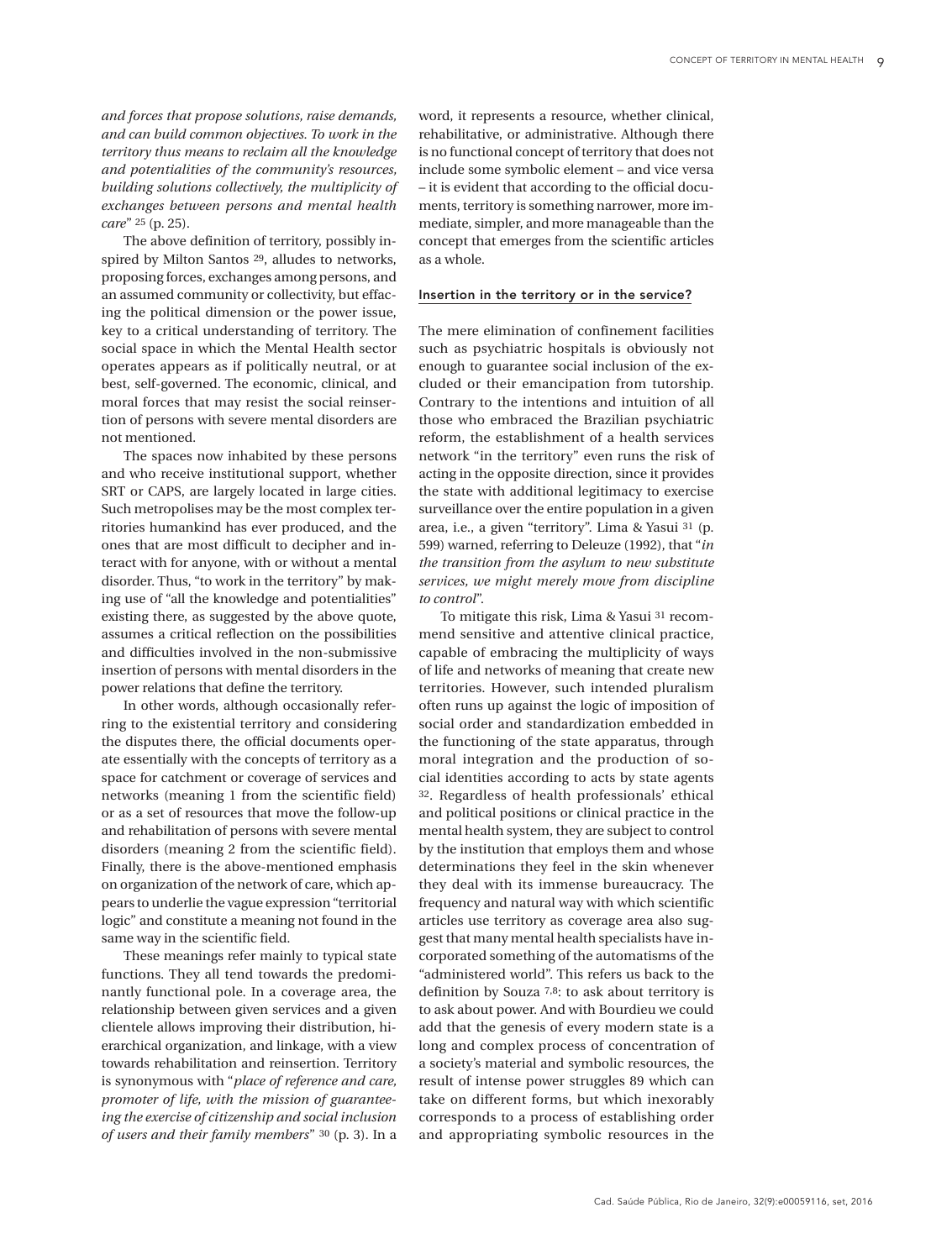*and forces that propose solutions, raise demands, and can build common objectives. To work in the territory thus means to reclaim all the knowledge and potentialities of the community's resources, building solutions collectively, the multiplicity of exchanges between persons and mental health care*" 25 (p. 25).

The above definition of territory, possibly inspired by Milton Santos 29, alludes to networks, proposing forces, exchanges among persons, and an assumed community or collectivity, but effacing the political dimension or the power issue, key to a critical understanding of territory. The social space in which the Mental Health sector operates appears as if politically neutral, or at best, self-governed. The economic, clinical, and moral forces that may resist the social reinsertion of persons with severe mental disorders are not mentioned.

The spaces now inhabited by these persons and who receive institutional support, whether SRT or CAPS, are largely located in large cities. Such metropolises may be the most complex territories humankind has ever produced, and the ones that are most difficult to decipher and interact with for anyone, with or without a mental disorder. Thus, "to work in the territory" by making use of "all the knowledge and potentialities" existing there, as suggested by the above quote, assumes a critical reflection on the possibilities and difficulties involved in the non-submissive insertion of persons with mental disorders in the power relations that define the territory.

In other words, although occasionally referring to the existential territory and considering the disputes there, the official documents operate essentially with the concepts of territory as a space for catchment or coverage of services and networks (meaning 1 from the scientific field) or as a set of resources that move the follow-up and rehabilitation of persons with severe mental disorders (meaning 2 from the scientific field). Finally, there is the above-mentioned emphasis on organization of the network of care, which appears to underlie the vague expression "territorial logic" and constitute a meaning not found in the same way in the scientific field.

These meanings refer mainly to typical state functions. They all tend towards the predominantly functional pole. In a coverage area, the relationship between given services and a given clientele allows improving their distribution, hierarchical organization, and linkage, with a view towards rehabilitation and reinsertion. Territory is synonymous with "*place of reference and care, promoter of life, with the mission of guaranteeing the exercise of citizenship and social inclusion of users and their family members*" 30 (p. 3). In a

word, it represents a resource, whether clinical, rehabilitative, or administrative. Although there is no functional concept of territory that does not include some symbolic element – and vice versa – it is evident that according to the official documents, territory is something narrower, more immediate, simpler, and more manageable than the concept that emerges from the scientific articles as a whole.

# Insertion in the territory or in the service?

The mere elimination of confinement facilities such as psychiatric hospitals is obviously not enough to guarantee social inclusion of the excluded or their emancipation from tutorship. Contrary to the intentions and intuition of all those who embraced the Brazilian psychiatric reform, the establishment of a health services network "in the territory" even runs the risk of acting in the opposite direction, since it provides the state with additional legitimacy to exercise surveillance over the entire population in a given area, i.e., a given "territory". Lima & Yasui 31 (p. 599) warned, referring to Deleuze (1992), that "*in the transition from the asylum to new substitute services, we might merely move from discipline to control*".

To mitigate this risk, Lima & Yasui 31 recommend sensitive and attentive clinical practice, capable of embracing the multiplicity of ways of life and networks of meaning that create new territories. However, such intended pluralism often runs up against the logic of imposition of social order and standardization embedded in the functioning of the state apparatus, through moral integration and the production of social identities according to acts by state agents 32. Regardless of health professionals' ethical and political positions or clinical practice in the mental health system, they are subject to control by the institution that employs them and whose determinations they feel in the skin whenever they deal with its immense bureaucracy. The frequency and natural way with which scientific articles use territory as coverage area also suggest that many mental health specialists have incorporated something of the automatisms of the "administered world". This refers us back to the definition by Souza 7,8: to ask about territory is to ask about power. And with Bourdieu we could add that the genesis of every modern state is a long and complex process of concentration of a society's material and symbolic resources, the result of intense power struggles 89 which can take on different forms, but which inexorably corresponds to a process of establishing order and appropriating symbolic resources in the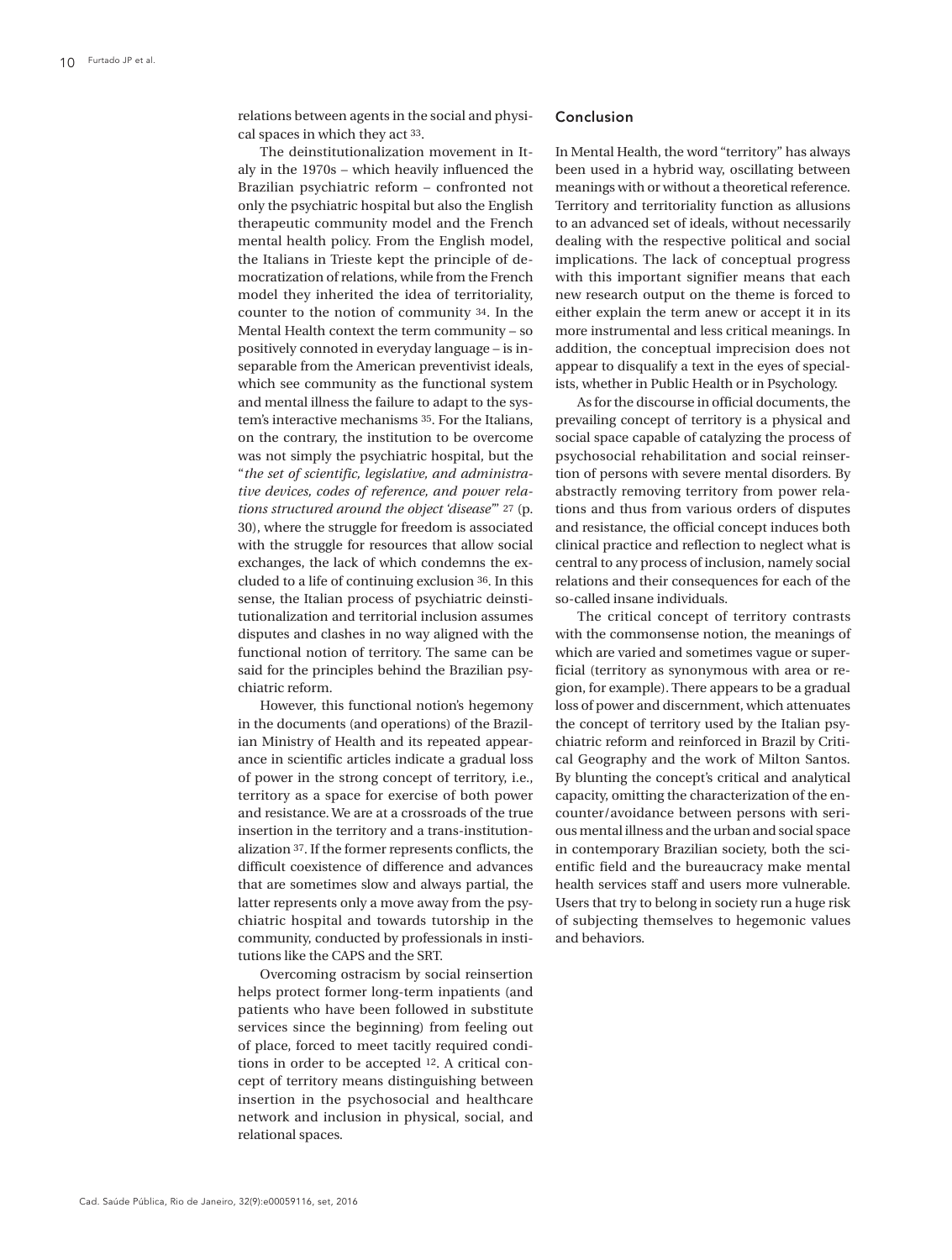relations between agents in the social and physical spaces in which they act 33.

The deinstitutionalization movement in Italy in the 1970s – which heavily influenced the Brazilian psychiatric reform – confronted not only the psychiatric hospital but also the English therapeutic community model and the French mental health policy. From the English model, the Italians in Trieste kept the principle of democratization of relations, while from the French model they inherited the idea of territoriality, counter to the notion of community 34. In the Mental Health context the term community – so positively connoted in everyday language – is inseparable from the American preventivist ideals, which see community as the functional system and mental illness the failure to adapt to the system's interactive mechanisms 35. For the Italians, on the contrary, the institution to be overcome was not simply the psychiatric hospital, but the "*the set of scientific, legislative, and administrative devices, codes of reference, and power relations structured around the object 'disease'*" 27 (p. 30), where the struggle for freedom is associated with the struggle for resources that allow social exchanges, the lack of which condemns the excluded to a life of continuing exclusion 36. In this sense, the Italian process of psychiatric deinstitutionalization and territorial inclusion assumes disputes and clashes in no way aligned with the functional notion of territory. The same can be said for the principles behind the Brazilian psychiatric reform.

However, this functional notion's hegemony in the documents (and operations) of the Brazilian Ministry of Health and its repeated appearance in scientific articles indicate a gradual loss of power in the strong concept of territory, i.e., territory as a space for exercise of both power and resistance. We are at a crossroads of the true insertion in the territory and a trans-institutionalization 37. If the former represents conflicts, the difficult coexistence of difference and advances that are sometimes slow and always partial, the latter represents only a move away from the psychiatric hospital and towards tutorship in the community, conducted by professionals in institutions like the CAPS and the SRT.

Overcoming ostracism by social reinsertion helps protect former long-term inpatients (and patients who have been followed in substitute services since the beginning) from feeling out of place, forced to meet tacitly required conditions in order to be accepted 12. A critical concept of territory means distinguishing between insertion in the psychosocial and healthcare network and inclusion in physical, social, and relational spaces.

## Conclusion

In Mental Health, the word "territory" has always been used in a hybrid way, oscillating between meanings with or without a theoretical reference. Territory and territoriality function as allusions to an advanced set of ideals, without necessarily dealing with the respective political and social implications. The lack of conceptual progress with this important signifier means that each new research output on the theme is forced to either explain the term anew or accept it in its more instrumental and less critical meanings. In addition, the conceptual imprecision does not appear to disqualify a text in the eyes of specialists, whether in Public Health or in Psychology.

As for the discourse in official documents, the prevailing concept of territory is a physical and social space capable of catalyzing the process of psychosocial rehabilitation and social reinsertion of persons with severe mental disorders. By abstractly removing territory from power relations and thus from various orders of disputes and resistance, the official concept induces both clinical practice and reflection to neglect what is central to any process of inclusion, namely social relations and their consequences for each of the so-called insane individuals.

The critical concept of territory contrasts with the commonsense notion, the meanings of which are varied and sometimes vague or superficial (territory as synonymous with area or region, for example). There appears to be a gradual loss of power and discernment, which attenuates the concept of territory used by the Italian psychiatric reform and reinforced in Brazil by Critical Geography and the work of Milton Santos. By blunting the concept's critical and analytical capacity, omitting the characterization of the encounter/avoidance between persons with serious mental illness and the urban and social space in contemporary Brazilian society, both the scientific field and the bureaucracy make mental health services staff and users more vulnerable. Users that try to belong in society run a huge risk of subjecting themselves to hegemonic values and behaviors.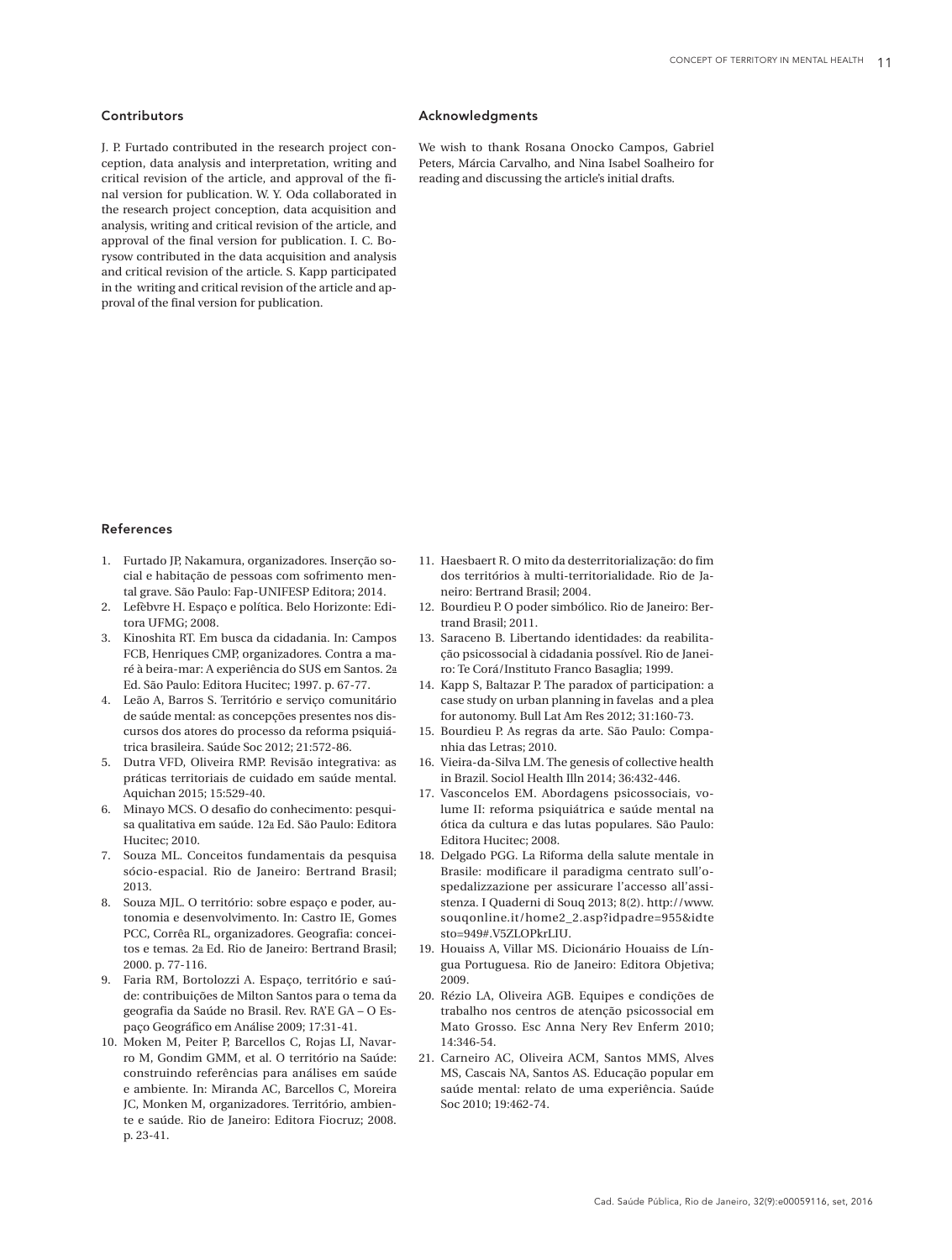#### Contributors

J. P. Furtado contributed in the research project conception, data analysis and interpretation, writing and critical revision of the article, and approval of the final version for publication. W. Y. Oda collaborated in the research project conception, data acquisition and analysis, writing and critical revision of the article, and approval of the final version for publication. I. C. Borysow contributed in the data acquisition and analysis and critical revision of the article. S. Kapp participated in the writing and critical revision of the article and approval of the final version for publication.

#### Acknowledgments

We wish to thank Rosana Onocko Campos, Gabriel Peters, Márcia Carvalho, and Nina Isabel Soalheiro for reading and discussing the article's initial drafts.

### References

- 1. Furtado JP, Nakamura, organizadores. Inserção social e habitação de pessoas com sofrimento mental grave. São Paulo: Fap-UNIFESP Editora; 2014.
- 2. Lefèbvre H. Espaço e política. Belo Horizonte: Editora UFMG; 2008.
- 3. Kinoshita RT. Em busca da cidadania. In: Campos FCB, Henriques CMP, organizadores. Contra a maré à beira-mar: A experiência do SUS em Santos. 2a Ed. São Paulo: Editora Hucitec; 1997. p. 67-77.
- 4. Leão A, Barros S. Território e serviço comunitário de saúde mental: as concepções presentes nos discursos dos atores do processo da reforma psiquiátrica brasileira. Saúde Soc 2012; 21:572-86.
- 5. Dutra VFD, Oliveira RMP. Revisão integrativa: as práticas territoriais de cuidado em saúde mental. Aquichan 2015; 15:529-40.
- 6. Minayo MCS. O desafio do conhecimento: pesquisa qualitativa em saúde. 12a Ed. São Paulo: Editora Hucitec; 2010.
- 7. Souza ML. Conceitos fundamentais da pesquisa sócio-espacial. Rio de Janeiro: Bertrand Brasil; 2013.
- 8. Souza MJL. O território: sobre espaço e poder, autonomia e desenvolvimento. In: Castro IE, Gomes PCC, Corrêa RL, organizadores. Geografia: conceitos e temas. 2a Ed. Rio de Janeiro: Bertrand Brasil; 2000. p. 77-116.
- 9. Faria RM, Bortolozzi A. Espaço, território e saúde: contribuições de Milton Santos para o tema da geografia da Saúde no Brasil. Rev. RA'E GA – O Espaço Geográfico em Análise 2009; 17:31-41.
- 10. Moken M, Peiter P, Barcellos C, Rojas LI, Navarro M, Gondim GMM, et al. O território na Saúde: construindo referências para análises em saúde e ambiente. In: Miranda AC, Barcellos C, Moreira JC, Monken M, organizadores. Território, ambiente e saúde. Rio de Janeiro: Editora Fiocruz; 2008. p. 23-41.
- 11. Haesbaert R. O mito da desterritorialização: do fim dos territórios à multi-territorialidade. Rio de Janeiro: Bertrand Brasil; 2004.
- 12. Bourdieu P. O poder simbólico. Rio de Janeiro: Bertrand Brasil; 2011.
- 13. Saraceno B. Libertando identidades: da reabilitação psicossocial à cidadania possível. Rio de Janeiro: Te Corá/Instituto Franco Basaglia; 1999.
- 14. Kapp S, Baltazar P. The paradox of participation: a case study on urban planning in favelas and a plea for autonomy. Bull Lat Am Res 2012; 31:160-73.
- 15. Bourdieu P. As regras da arte. São Paulo: Companhia das Letras; 2010.
- 16. Vieira-da-Silva LM. The genesis of collective health in Brazil. Sociol Health Illn 2014; 36:432-446.
- 17. Vasconcelos EM. Abordagens psicossociais, volume II: reforma psiquiátrica e saúde mental na ótica da cultura e das lutas populares. São Paulo: Editora Hucitec; 2008.
- 18. Delgado PGG. La Riforma della salute mentale in Brasile: modificare il paradigma centrato sull'ospedalizzazione per assicurare l'accesso all'assistenza. I Quaderni di Souq 2013; 8(2). http://www. souqonline.it/home2\_2.asp?idpadre=955&idte sto=949#.V5ZLOPkrLIU.
- 19. Houaiss A, Villar MS. Dicionário Houaiss de Língua Portuguesa. Rio de Janeiro: Editora Objetiva; 2009.
- 20. Rézio LA, Oliveira AGB. Equipes e condições de trabalho nos centros de atenção psicossocial em Mato Grosso. Esc Anna Nery Rev Enferm 2010; 14:346-54.
- 21. Carneiro AC, Oliveira ACM, Santos MMS, Alves MS, Cascais NA, Santos AS. Educação popular em saúde mental: relato de uma experiência. Saúde Soc 2010; 19:462-74.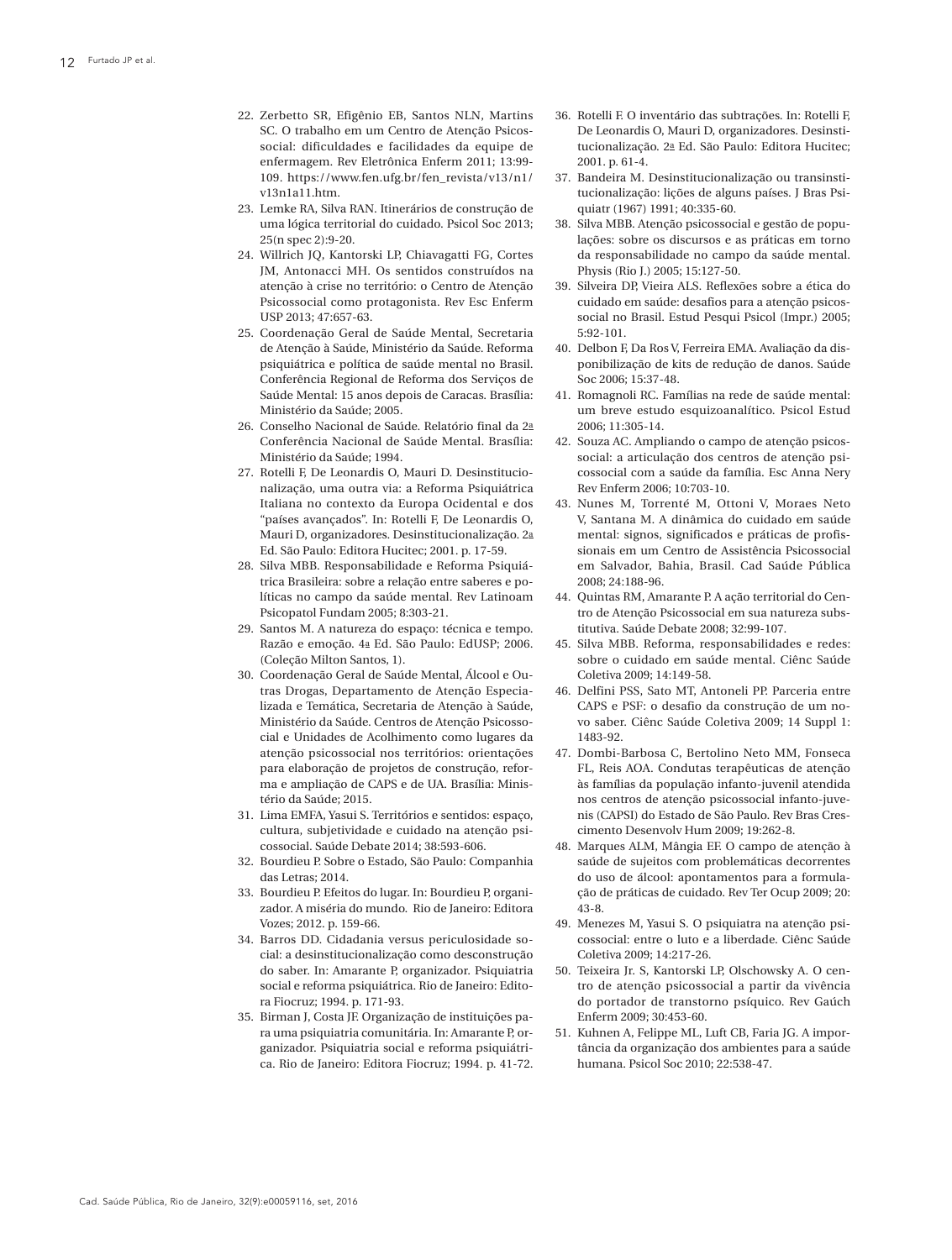- 22. Zerbetto SR, Efigênio EB, Santos NLN, Martins SC. O trabalho em um Centro de Atenção Psicossocial: dificuldades e facilidades da equipe de enfermagem. Rev Eletrônica Enferm 2011; 13:99- 109. https://www.fen.ufg.br/fen\_revista/v13/n1/ v13n1a11.htm.
- 23. Lemke RA, Silva RAN. Itinerários de construção de uma lógica territorial do cuidado. Psicol Soc 2013; 25(n spec 2):9-20.
- 24. Willrich JQ, Kantorski LP, Chiavagatti FG, Cortes JM, Antonacci MH. Os sentidos construídos na atenção à crise no território: o Centro de Atenção Psicossocial como protagonista. Rev Esc Enferm USP 2013; 47:657-63.
- 25. Coordenação Geral de Saúde Mental, Secretaria de Atenção à Saúde, Ministério da Saúde. Reforma psiquiátrica e política de saúde mental no Brasil. Conferência Regional de Reforma dos Serviços de Saúde Mental: 15 anos depois de Caracas. Brasília: Ministério da Saúde; 2005.
- 26. Conselho Nacional de Saúde. Relatório final da 2a Conferência Nacional de Saúde Mental. Brasília: Ministério da Saúde; 1994.
- 27. Rotelli F, De Leonardis O, Mauri D. Desinstitucionalização, uma outra via: a Reforma Psiquiátrica Italiana no contexto da Europa Ocidental e dos "países avançados". In: Rotelli F, De Leonardis O, Mauri D, organizadores. Desinstitucionalização. 2a Ed. São Paulo: Editora Hucitec; 2001. p. 17-59.
- 28. Silva MBB. Responsabilidade e Reforma Psiquiátrica Brasileira: sobre a relação entre saberes e políticas no campo da saúde mental. Rev Latinoam Psicopatol Fundam 2005; 8:303-21.
- 29. Santos M. A natureza do espaço: técnica e tempo. Razão e emoção. 4a Ed. São Paulo: EdUSP; 2006. (Coleção Milton Santos, 1).
- 30. Coordenação Geral de Saúde Mental, Álcool e Outras Drogas, Departamento de Atenção Especializada e Temática, Secretaria de Atenção à Saúde, Ministério da Saúde. Centros de Atenção Psicossocial e Unidades de Acolhimento como lugares da atenção psicossocial nos territórios: orientações para elaboração de projetos de construção, reforma e ampliação de CAPS e de UA. Brasília: Ministério da Saúde; 2015.
- 31. Lima EMFA, Yasui S. Territórios e sentidos: espaço, cultura, subjetividade e cuidado na atenção psicossocial. Saúde Debate 2014; 38:593-606.
- 32. Bourdieu P. Sobre o Estado, São Paulo: Companhia das Letras; 2014.
- 33. Bourdieu P. Efeitos do lugar. In: Bourdieu P, organizador. A miséria do mundo. Rio de Janeiro: Editora Vozes; 2012. p. 159-66.
- 34. Barros DD. Cidadania versus periculosidade social: a desinstitucionalização como desconstrução do saber. In: Amarante P, organizador. Psiquiatria social e reforma psiquiátrica. Rio de Janeiro: Editora Fiocruz; 1994. p. 171-93.
- 35. Birman J, Costa JF. Organização de instituições para uma psiquiatria comunitária. In: Amarante P, organizador. Psiquiatria social e reforma psiquiátrica. Rio de Janeiro: Editora Fiocruz; 1994. p. 41-72.
- 36. Rotelli F. O inventário das subtrações. In: Rotelli F, De Leonardis O, Mauri D, organizadores. Desinstitucionalização. 2a Ed. São Paulo: Editora Hucitec; 2001. p. 61-4.
- 37. Bandeira M. Desinstitucionalização ou transinstitucionalização: lições de alguns países. J Bras Psiquiatr (1967) 1991; 40:335-60.
- 38. Silva MBB. Atenção psicossocial e gestão de populações: sobre os discursos e as práticas em torno da responsabilidade no campo da saúde mental. Physis (Rio J.) 2005; 15:127-50.
- 39. Silveira DP, Vieira ALS. Reflexões sobre a ética do cuidado em saúde: desafios para a atenção psicossocial no Brasil. Estud Pesqui Psicol (Impr.) 2005; 5:92-101.
- 40. Delbon F, Da Ros V, Ferreira EMA. Avaliação da disponibilização de kits de redução de danos. Saúde Soc 2006; 15:37-48.
- 41. Romagnoli RC. Famílias na rede de saúde mental: um breve estudo esquizoanalítico. Psicol Estud 2006; 11:305-14.
- 42. Souza AC. Ampliando o campo de atenção psicossocial: a articulação dos centros de atenção psicossocial com a saúde da família. Esc Anna Nery Rev Enferm 2006; 10:703-10.
- 43. Nunes M, Torrenté M, Ottoni V, Moraes Neto V, Santana M. A dinâmica do cuidado em saúde mental: signos, significados e práticas de profissionais em um Centro de Assistência Psicossocial em Salvador, Bahia, Brasil. Cad Saúde Pública 2008; 24:188-96.
- 44. Quintas RM, Amarante P. A ação territorial do Centro de Atenção Psicossocial em sua natureza substitutiva. Saúde Debate 2008; 32:99-107.
- 45. Silva MBB. Reforma, responsabilidades e redes: sobre o cuidado em saúde mental. Ciênc Saúde Coletiva 2009; 14:149-58.
- 46. Delfini PSS, Sato MT, Antoneli PP. Parceria entre CAPS e PSF: o desafio da construção de um novo saber. Ciênc Saúde Coletiva 2009; 14 Suppl 1: 1483-92.
- 47. Dombi-Barbosa C, Bertolino Neto MM, Fonseca FL, Reis AOA. Condutas terapêuticas de atenção às famílias da população infanto-juvenil atendida nos centros de atenção psicossocial infanto-juvenis (CAPSI) do Estado de São Paulo. Rev Bras Crescimento Desenvolv Hum 2009; 19:262-8.
- 48. Marques ALM, Mângia EF. O campo de atenção à saúde de sujeitos com problemáticas decorrentes do uso de álcool: apontamentos para a formulação de práticas de cuidado. Rev Ter Ocup 2009; 20: 43-8.
- 49. Menezes M, Yasui S. O psiquiatra na atenção psicossocial: entre o luto e a liberdade. Ciênc Saúde Coletiva 2009; 14:217-26.
- 50. Teixeira Jr. S, Kantorski LP, Olschowsky A. O centro de atenção psicossocial a partir da vivência do portador de transtorno psíquico. Rev Gaúch Enferm 2009; 30:453-60.
- 51. Kuhnen A, Felippe ML, Luft CB, Faria JG. A importância da organização dos ambientes para a saúde humana. Psicol Soc 2010; 22:538-47.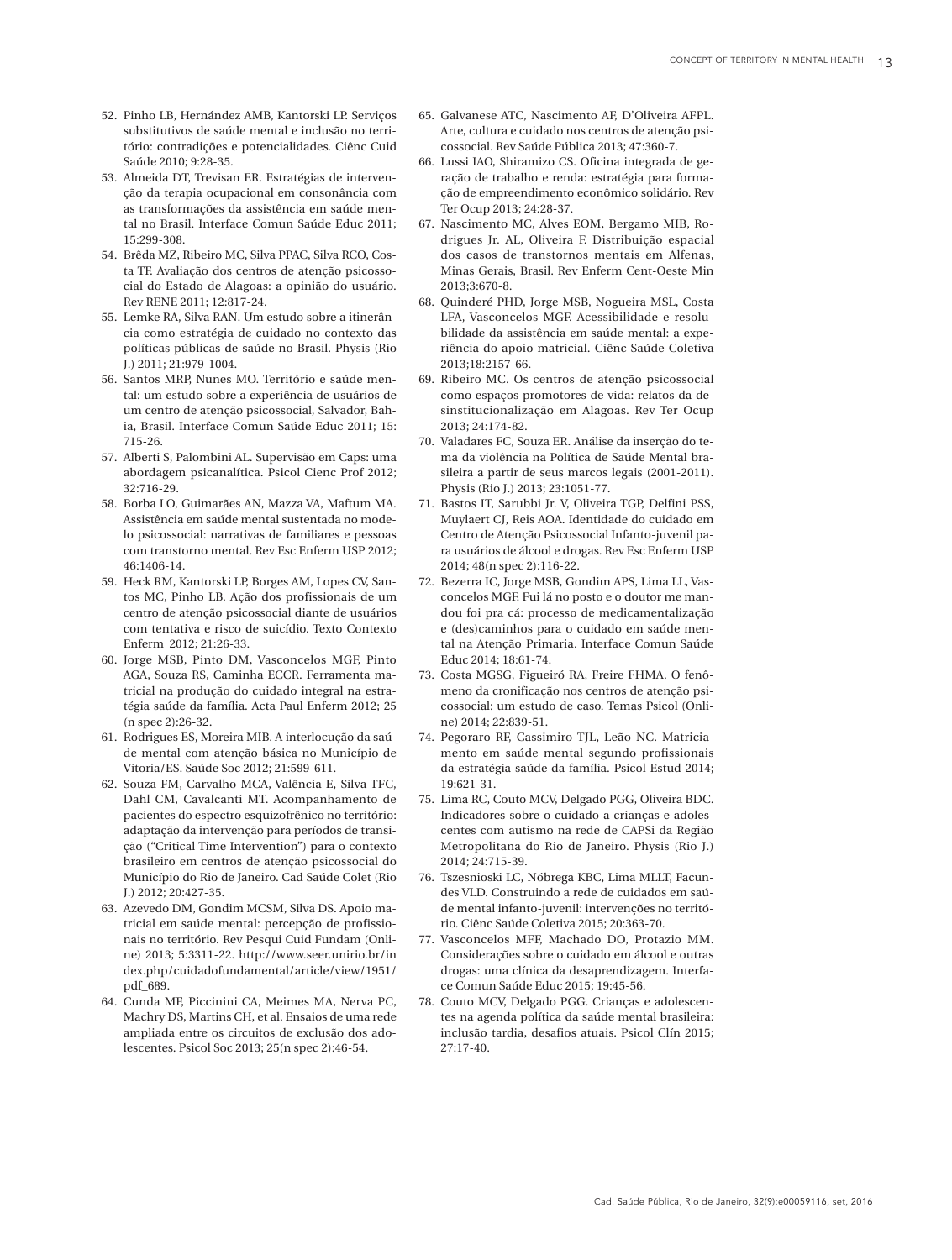- 52. Pinho LB, Hernández AMB, Kantorski LP. Serviços substitutivos de saúde mental e inclusão no território: contradições e potencialidades. Ciênc Cuid Saúde 2010; 9:28-35.
- 53. Almeida DT, Trevisan ER. Estratégias de intervenção da terapia ocupacional em consonância com as transformações da assistência em saúde mental no Brasil. Interface Comun Saúde Educ 2011; 15:299-308.
- 54. Brêda MZ, Ribeiro MC, Silva PPAC, Silva RCO, Costa TF. Avaliação dos centros de atenção psicossocial do Estado de Alagoas: a opinião do usuário. Rev RENE 2011; 12:817-24.
- 55. Lemke RA, Silva RAN. Um estudo sobre a itinerância como estratégia de cuidado no contexto das políticas públicas de saúde no Brasil. Physis (Rio J.) 2011; 21:979-1004.
- 56. Santos MRP, Nunes MO. Território e saúde mental: um estudo sobre a experiência de usuários de um centro de atenção psicossocial, Salvador, Bahia, Brasil. Interface Comun Saúde Educ 2011; 15: 715-26.
- 57. Alberti S, Palombini AL. Supervisão em Caps: uma abordagem psicanalítica. Psicol Cienc Prof 2012; 32:716-29.
- 58. Borba LO, Guimarães AN, Mazza VA, Maftum MA. Assistência em saúde mental sustentada no modelo psicossocial: narrativas de familiares e pessoas com transtorno mental. Rev Esc Enferm USP 2012; 46:1406-14.
- 59. Heck RM, Kantorski LP, Borges AM, Lopes CV, Santos MC, Pinho LB. Ação dos profissionais de um centro de atenção psicossocial diante de usuários com tentativa e risco de suicídio. Texto Contexto Enferm 2012; 21:26-33.
- 60. Jorge MSB, Pinto DM, Vasconcelos MGF, Pinto AGA, Souza RS, Caminha ECCR. Ferramenta matricial na produção do cuidado integral na estratégia saúde da família. Acta Paul Enferm 2012; 25 (n spec 2):26-32.
- 61. Rodrigues ES, Moreira MIB. A interlocução da saúde mental com atenção básica no Município de Vitoria/ES. Saúde Soc 2012; 21:599-611.
- 62. Souza FM, Carvalho MCA, Valência E, Silva TFC, Dahl CM, Cavalcanti MT. Acompanhamento de pacientes do espectro esquizofrênico no território: adaptação da intervenção para períodos de transição ("Critical Time Intervention") para o contexto brasileiro em centros de atenção psicossocial do Município do Rio de Janeiro. Cad Saúde Colet (Rio J.) 2012; 20:427-35.
- 63. Azevedo DM, Gondim MCSM, Silva DS. Apoio matricial em saúde mental: percepção de profissionais no território. Rev Pesqui Cuid Fundam (Online) 2013; 5:3311-22. http://www.seer.unirio.br/in dex.php/cuidadofundamental/article/view/1951/ pdf\_689.
- 64. Cunda MF, Piccinini CA, Meimes MA, Nerva PC, Machry DS, Martins CH, et al. Ensaios de uma rede ampliada entre os circuitos de exclusão dos adolescentes. Psicol Soc 2013; 25(n spec 2):46-54.
- 65. Galvanese ATC, Nascimento AF, D'Oliveira AFPL. Arte, cultura e cuidado nos centros de atenção psicossocial. Rev Saúde Pública 2013; 47:360-7.
- 66. Lussi IAO, Shiramizo CS. Oficina integrada de geração de trabalho e renda: estratégia para formação de empreendimento econômico solidário. Rev Ter Ocup 2013; 24:28-37.
- 67. Nascimento MC, Alves EOM, Bergamo MIB, Rodrigues Jr. AL, Oliveira F. Distribuição espacial dos casos de transtornos mentais em Alfenas, Minas Gerais, Brasil. Rev Enferm Cent-Oeste Min 2013;3:670-8.
- 68. Quinderé PHD, Jorge MSB, Nogueira MSL, Costa LFA, Vasconcelos MGF. Acessibilidade e resolubilidade da assistência em saúde mental: a experiência do apoio matricial. Ciênc Saúde Coletiva 2013;18:2157-66.
- 69. Ribeiro MC. Os centros de atenção psicossocial como espaços promotores de vida: relatos da desinstitucionalização em Alagoas. Rev Ter Ocup 2013; 24:174-82.
- 70. Valadares FC, Souza ER. Análise da inserção do tema da violência na Política de Saúde Mental brasileira a partir de seus marcos legais (2001-2011). Physis (Rio J.) 2013; 23:1051-77.
- 71. Bastos IT, Sarubbi Jr. V, Oliveira TGP, Delfini PSS, Muylaert CJ, Reis AOA. Identidade do cuidado em Centro de Atenção Psicossocial Infanto-juvenil para usuários de álcool e drogas. Rev Esc Enferm USP 2014; 48(n spec 2):116-22.
- 72. Bezerra IC, Jorge MSB, Gondim APS, Lima LL, Vasconcelos MGF. Fui lá no posto e o doutor me mandou foi pra cá: processo de medicamentalização e (des)caminhos para o cuidado em saúde mental na Atenção Primaria. Interface Comun Saúde Educ 2014; 18:61-74.
- 73. Costa MGSG, Figueiró RA, Freire FHMA. O fenômeno da cronificação nos centros de atenção psicossocial: um estudo de caso. Temas Psicol (Online) 2014; 22:839-51.
- 74. Pegoraro RF, Cassimiro TJL, Leão NC. Matriciamento em saúde mental segundo profissionais da estratégia saúde da família. Psicol Estud 2014; 19:621-31.
- 75. Lima RC, Couto MCV, Delgado PGG, Oliveira BDC. Indicadores sobre o cuidado a crianças e adolescentes com autismo na rede de CAPSi da Região Metropolitana do Rio de Janeiro. Physis (Rio J.) 2014; 24:715-39.
- 76. Tszesnioski LC, Nóbrega KBC, Lima MLLT, Facundes VLD. Construindo a rede de cuidados em saúde mental infanto-juvenil: intervenções no território. Ciênc Saúde Coletiva 2015; 20:363-70.
- 77. Vasconcelos MFF, Machado DO, Protazio MM. Considerações sobre o cuidado em álcool e outras drogas: uma clínica da desaprendizagem. Interface Comun Saúde Educ 2015; 19:45-56.
- 78. Couto MCV, Delgado PGG. Crianças e adolescentes na agenda política da saúde mental brasileira: inclusão tardia, desafios atuais. Psicol Clín 2015; 27:17-40.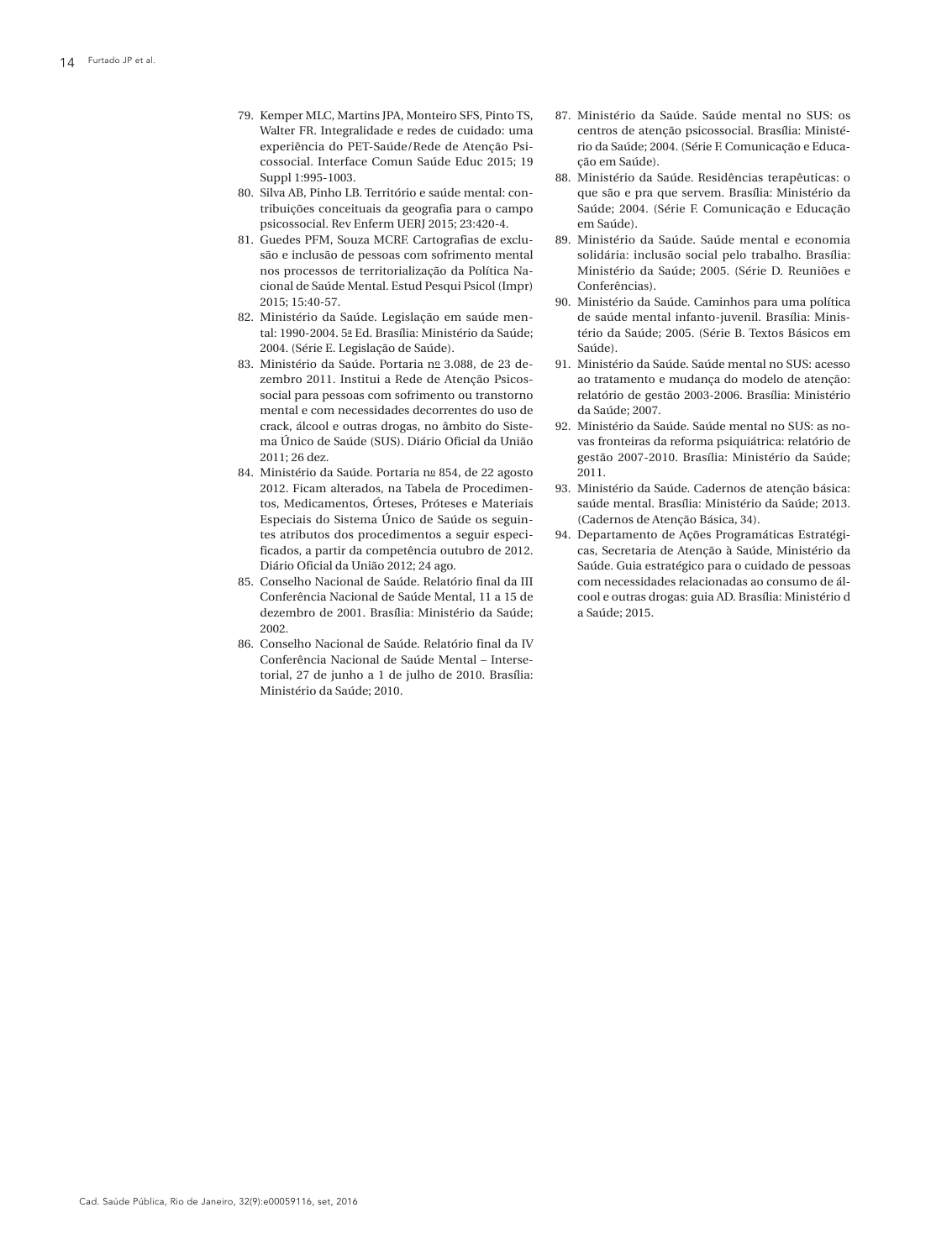- 79. Kemper MLC, Martins JPA, Monteiro SFS, Pinto TS, Walter FR. Integralidade e redes de cuidado: uma experiência do PET-Saúde/Rede de Atenção Psicossocial. Interface Comun Saúde Educ 2015; 19 Suppl 1:995-1003.
- 80. Silva AB, Pinho LB. Território e saúde mental: contribuições conceituais da geografia para o campo psicossocial. Rev Enferm UERJ 2015; 23:420-4.
- 81. Guedes PFM, Souza MCRF. Cartografias de exclusão e inclusão de pessoas com sofrimento mental nos processos de territorialização da Política Nacional de Saúde Mental. Estud Pesqui Psicol (Impr) 2015; 15:40-57.
- 82. Ministério da Saúde. Legislação em saúde mental: 1990-2004. 5a Ed. Brasília: Ministério da Saúde; 2004. (Série E. Legislação de Saúde).
- 83. Ministério da Saúde. Portaria nº 3.088, de 23 dezembro 2011. Institui a Rede de Atenção Psicossocial para pessoas com sofrimento ou transtorno mental e com necessidades decorrentes do uso de crack, álcool e outras drogas, no âmbito do Sistema Único de Saúde (SUS). Diário Oficial da União 2011; 26 dez.
- 84. Ministério da Saúde. Portaria nº 854, de 22 agosto 2012. Ficam alterados, na Tabela de Procedimentos, Medicamentos, Órteses, Próteses e Materiais Especiais do Sistema Único de Saúde os seguintes atributos dos procedimentos a seguir especificados, a partir da competência outubro de 2012. Diário Oficial da União 2012; 24 ago.
- 85. Conselho Nacional de Saúde. Relatório final da III Conferência Nacional de Saúde Mental, 11 a 15 de dezembro de 2001. Brasília: Ministério da Saúde; 2002.
- 86. Conselho Nacional de Saúde. Relatório final da IV Conferência Nacional de Saúde Mental – Intersetorial, 27 de junho a 1 de julho de 2010. Brasília: Ministério da Saúde; 2010.
- 87. Ministério da Saúde. Saúde mental no SUS: os centros de atenção psicossocial. Brasília: Ministério da Saúde; 2004. (Série F. Comunicação e Educação em Saúde).
- 88. Ministério da Saúde. Residências terapêuticas: o que são e pra que servem. Brasília: Ministério da Saúde; 2004. (Série F. Comunicação e Educação em Saúde).
- 89. Ministério da Saúde. Saúde mental e economia solidária: inclusão social pelo trabalho. Brasília: Ministério da Saúde; 2005. (Série D. Reuniões e Conferências).
- 90. Ministério da Saúde. Caminhos para uma política de saúde mental infanto-juvenil. Brasília: Ministério da Saúde; 2005. (Série B. Textos Básicos em Saúde).
- 91. Ministério da Saúde. Saúde mental no SUS: acesso ao tratamento e mudança do modelo de atenção: relatório de gestão 2003-2006. Brasília: Ministério da Saúde; 2007.
- 92. Ministério da Saúde. Saúde mental no SUS: as novas fronteiras da reforma psiquiátrica: relatório de gestão 2007-2010. Brasília: Ministério da Saúde; 2011.
- 93. Ministério da Saúde. Cadernos de atenção básica: saúde mental. Brasília: Ministério da Saúde; 2013. (Cadernos de Atenção Básica, 34).
- 94. Departamento de Ações Programáticas Estratégicas, Secretaria de Atenção à Saúde, Ministério da Saúde. Guia estratégico para o cuidado de pessoas com necessidades relacionadas ao consumo de álcool e outras drogas: guia AD. Brasília: Ministério d a Saúde; 2015.